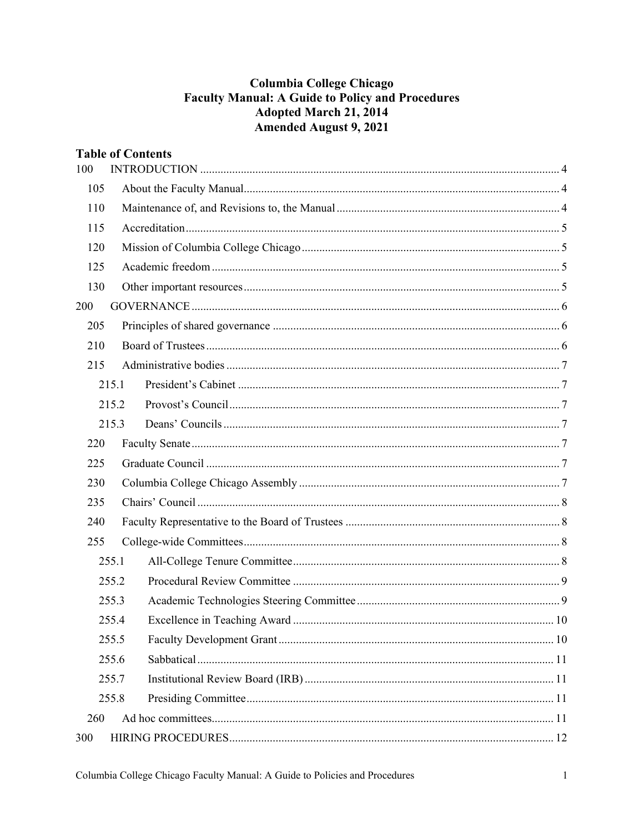# **Columbia College Chicago Faculty Manual: A Guide to Policy and Procedures Adopted March 21, 2014 Amended August 9, 2021**

| <b>Table of Contents</b> |       |  |  |
|--------------------------|-------|--|--|
| 100                      |       |  |  |
| 105                      |       |  |  |
| 110                      |       |  |  |
| 115                      |       |  |  |
| 120                      |       |  |  |
| 125                      |       |  |  |
| 130                      |       |  |  |
| 200                      |       |  |  |
| 205                      |       |  |  |
| 210                      |       |  |  |
| 215                      |       |  |  |
|                          | 215.1 |  |  |
|                          | 215.2 |  |  |
|                          | 215.3 |  |  |
| 220                      |       |  |  |
| 225                      |       |  |  |
| 230                      |       |  |  |
| 235                      |       |  |  |
| 240                      |       |  |  |
| 255                      |       |  |  |
|                          | 255.1 |  |  |
|                          | 255.2 |  |  |
|                          | 255.3 |  |  |
|                          | 255.4 |  |  |
|                          | 255.5 |  |  |
|                          | 255.6 |  |  |
|                          | 255.7 |  |  |
|                          | 255.8 |  |  |
| 260                      |       |  |  |
| 300                      |       |  |  |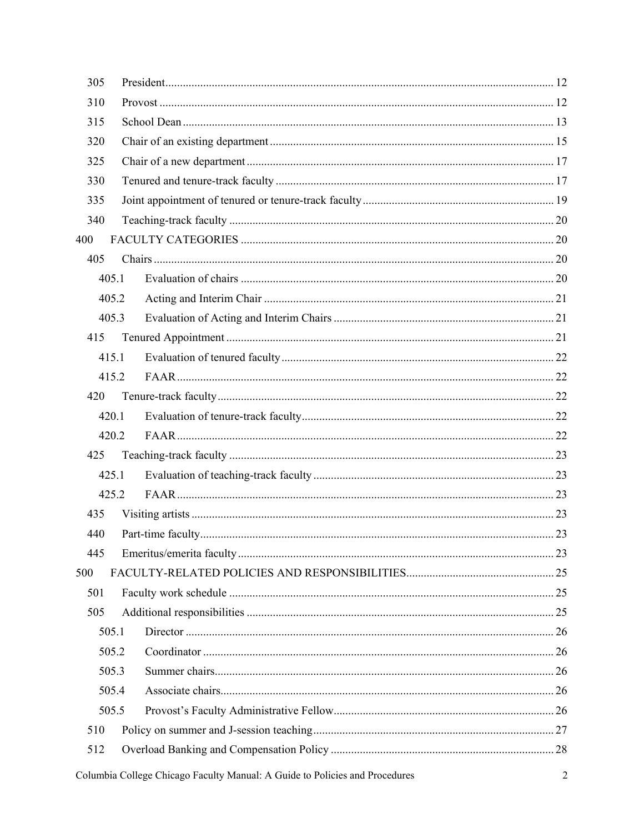| 305   |       |  |
|-------|-------|--|
| 310   |       |  |
| 315   |       |  |
| 320   |       |  |
| 325   |       |  |
| 330   |       |  |
| 335   |       |  |
| 340   |       |  |
| 400   |       |  |
| 405   |       |  |
|       | 405.1 |  |
|       | 405.2 |  |
|       | 405.3 |  |
| 415   |       |  |
|       | 415.1 |  |
|       | 415.2 |  |
| 420   |       |  |
|       | 420.1 |  |
|       | 420.2 |  |
| 425   |       |  |
|       | 425.1 |  |
|       | 425.2 |  |
| 435   |       |  |
| 440   |       |  |
| 445   |       |  |
| 500   |       |  |
| 501   |       |  |
| 505   |       |  |
|       | 505.1 |  |
|       | 505.2 |  |
|       | 505.3 |  |
| 505.4 |       |  |
|       | 505.5 |  |
| 510   |       |  |
| 512   |       |  |
|       |       |  |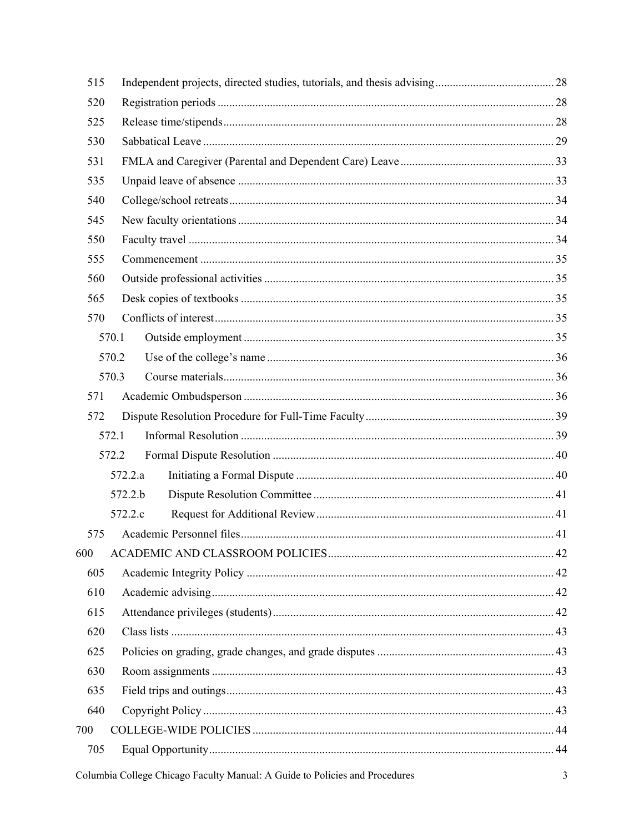| 515 |         |  |
|-----|---------|--|
| 520 |         |  |
| 525 |         |  |
| 530 |         |  |
| 531 |         |  |
| 535 |         |  |
| 540 |         |  |
| 545 |         |  |
| 550 |         |  |
| 555 |         |  |
| 560 |         |  |
| 565 |         |  |
| 570 |         |  |
|     | 570.1   |  |
|     | 570.2   |  |
|     | 570.3   |  |
| 571 |         |  |
| 572 |         |  |
|     | 572.1   |  |
|     | 572.2   |  |
|     | 572.2.a |  |
|     | 572.2.b |  |
|     | 572.2.c |  |
| 575 |         |  |
| 600 |         |  |
| 605 |         |  |
| 610 |         |  |
| 615 |         |  |
| 620 |         |  |
| 625 |         |  |
| 630 |         |  |
| 635 |         |  |
| 640 |         |  |
| 700 |         |  |
| 705 |         |  |
|     |         |  |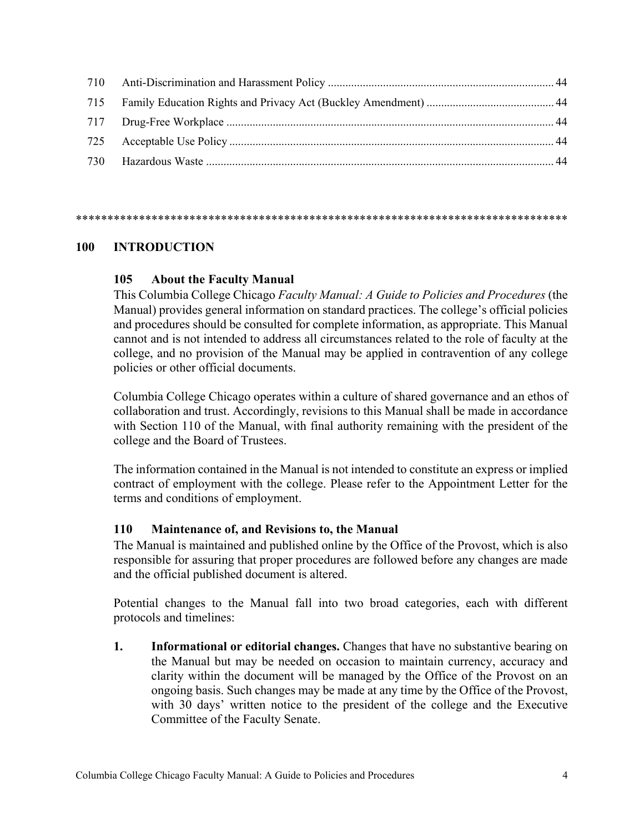#### \*\*\*\*\*\*\*\*\*\*\*\*\*\*\*\*\*\*\*\*\*\*\*\*\*\*\*\*\*\*\*\*\*\*\*\*\*\*\*\*\*\*\*\*\*\*\*\*\*\*\*\*\*\*\*\*\*\*\*\*\*\*\*\*\*\*\*\*\*\*\*\*\*\*\*\*\*\*

### <span id="page-3-1"></span><span id="page-3-0"></span>**100 INTRODUCTION**

#### **105 About the Faculty Manual**

This Columbia College Chicago *Faculty Manual: A Guide to Policies and Procedures* (the Manual) provides general information on standard practices. The college's official policies and procedures should be consulted for complete information, as appropriate. This Manual cannot and is not intended to address all circumstances related to the role of faculty at the college, and no provision of the Manual may be applied in contravention of any college policies or other official documents.

Columbia College Chicago operates within a culture of shared governance and an ethos of collaboration and trust. Accordingly, revisions to this Manual shall be made in accordance with Section 110 of the Manual, with final authority remaining with the president of the college and the Board of Trustees.

The information contained in the Manual is not intended to constitute an express or implied contract of employment with the college. Please refer to the Appointment Letter for the terms and conditions of employment.

#### <span id="page-3-2"></span>**110 Maintenance of, and Revisions to, the Manual**

The Manual is maintained and published online by the Office of the Provost, which is also responsible for assuring that proper procedures are followed before any changes are made and the official published document is altered.

Potential changes to the Manual fall into two broad categories, each with different protocols and timelines:

**1. Informational or editorial changes.** Changes that have no substantive bearing on the Manual but may be needed on occasion to maintain currency, accuracy and clarity within the document will be managed by the Office of the Provost on an ongoing basis. Such changes may be made at any time by the Office of the Provost, with 30 days' written notice to the president of the college and the Executive Committee of the Faculty Senate.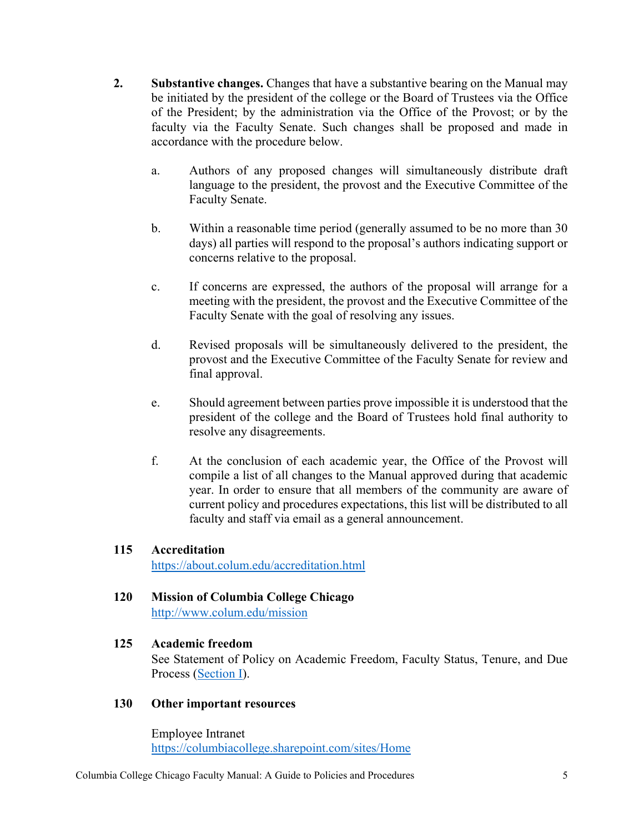- **2. Substantive changes.** Changes that have a substantive bearing on the Manual may be initiated by the president of the college or the Board of Trustees via the Office of the President; by the administration via the Office of the Provost; or by the faculty via the Faculty Senate. Such changes shall be proposed and made in accordance with the procedure below.
	- a. Authors of any proposed changes will simultaneously distribute draft language to the president, the provost and the Executive Committee of the Faculty Senate.
	- b. Within a reasonable time period (generally assumed to be no more than 30 days) all parties will respond to the proposal's authors indicating support or concerns relative to the proposal.
	- c. If concerns are expressed, the authors of the proposal will arrange for a meeting with the president, the provost and the Executive Committee of the Faculty Senate with the goal of resolving any issues.
	- d. Revised proposals will be simultaneously delivered to the president, the provost and the Executive Committee of the Faculty Senate for review and final approval.
	- e. Should agreement between parties prove impossible it is understood that the president of the college and the Board of Trustees hold final authority to resolve any disagreements.
	- f. At the conclusion of each academic year, the Office of the Provost will compile a list of all changes to the Manual approved during that academic year. In order to ensure that all members of the community are aware of current policy and procedures expectations, this list will be distributed to all faculty and staff via email as a general announcement.

## <span id="page-4-0"></span>**115 Accreditation**

<https://about.colum.edu/accreditation.html>

## <span id="page-4-1"></span>**120 Mission of Columbia College Chicago**

<http://www.colum.edu/mission>

### <span id="page-4-2"></span>**125 Academic freedom**

See Statement of Policy on Academic Freedom, Faculty Status, Tenure, and Due Process [\(Section](https://about.colum.edu/provost/academic-personnel/statement-of-policy/academic-freedom.html) I).

### <span id="page-4-3"></span>**130 Other important resources**

Employee Intranet <https://columbiacollege.sharepoint.com/sites/Home>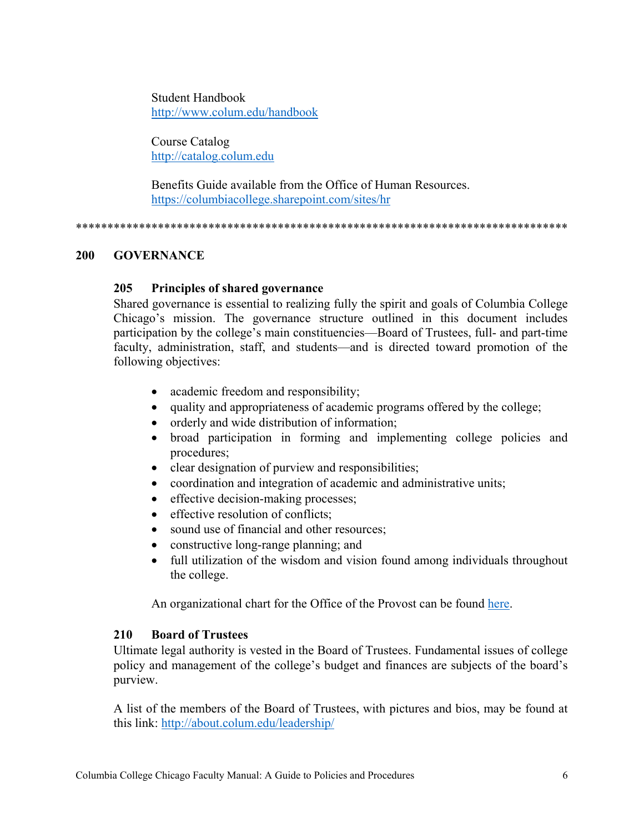Student Handbook <http://www.colum.edu/handbook>

Course Catalog [http://catalog.colum.edu](http://catalog.colum.edu/)

Benefits Guide available from the Office of Human Resources. https://columbiacollege.sharepoint.com/sites/hr

\*\*\*\*\*\*\*\*\*\*\*\*\*\*\*\*\*\*\*\*\*\*\*\*\*\*\*\*\*\*\*\*\*\*\*\*\*\*\*\*\*\*\*\*\*\*\*\*\*\*\*\*\*\*\*\*\*\*\*\*\*\*\*\*\*\*\*\*\*\*\*\*\*\*\*\*\*\*

### <span id="page-5-1"></span><span id="page-5-0"></span>**200 GOVERNANCE**

## **205 Principles of shared governance**

Shared governance is essential to realizing fully the spirit and goals of Columbia College Chicago's mission. The governance structure outlined in this document includes participation by the college's main constituencies—Board of Trustees, full- and part-time faculty, administration, staff, and students—and is directed toward promotion of the following objectives:

- academic freedom and responsibility;
- quality and appropriateness of academic programs offered by the college;
- orderly and wide distribution of information;
- broad participation in forming and implementing college policies and procedures;
- clear designation of purview and responsibilities;
- coordination and integration of academic and administrative units;
- effective decision-making processes;
- effective resolution of conflicts:
- sound use of financial and other resources:
- constructive long-range planning; and
- full utilization of the wisdom and vision found among individuals throughout the college.

An organizational chart for the Office of the Provost can be found [here.](https://about.colum.edu/provost/academic-leadership/academic-affairs-org-chart.pdf)

### <span id="page-5-2"></span>**210 Board of Trustees**

Ultimate legal authority is vested in the Board of Trustees. Fundamental issues of college policy and management of the college's budget and finances are subjects of the board's purview.

A list of the members of the Board of Trustees, with pictures and bios, may be found at this link: <http://about.colum.edu/leadership/>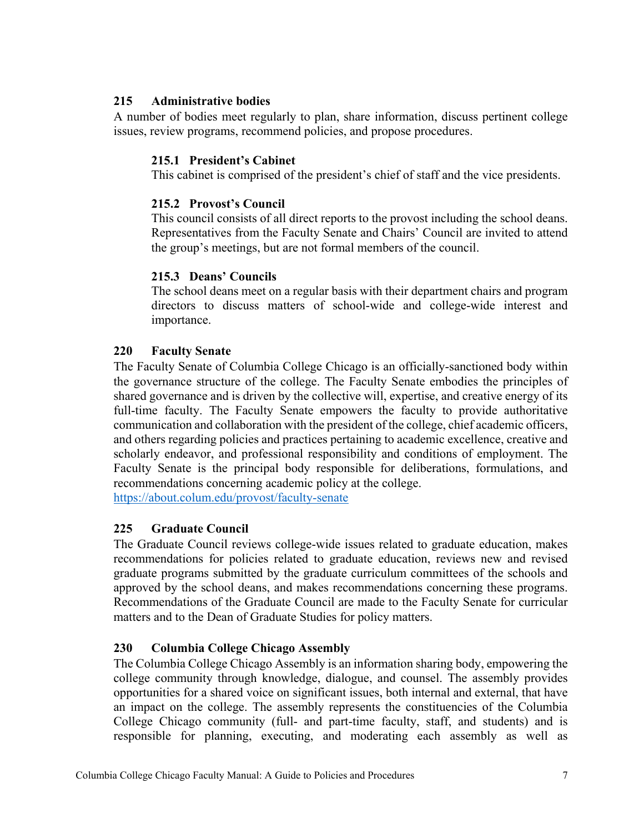## <span id="page-6-0"></span>**215 Administrative bodies**

<span id="page-6-1"></span>A number of bodies meet regularly to plan, share information, discuss pertinent college issues, review programs, recommend policies, and propose procedures.

## **215.1 President's Cabinet**

This cabinet is comprised of the president's chief of staff and the vice presidents.

### <span id="page-6-2"></span>**215.2 Provost's Council**

This council consists of all direct reports to the provost including the school deans. Representatives from the Faculty Senate and Chairs' Council are invited to attend the group's meetings, but are not formal members of the council.

## <span id="page-6-3"></span>**215.3 Deans' Councils**

The school deans meet on a regular basis with their department chairs and program directors to discuss matters of school-wide and college-wide interest and importance.

## <span id="page-6-4"></span>**220 Faculty Senate**

The Faculty Senate of Columbia College Chicago is an officially-sanctioned body within the governance structure of the college. The Faculty Senate embodies the principles of shared governance and is driven by the collective will, expertise, and creative energy of its full-time faculty. The Faculty Senate empowers the faculty to provide authoritative communication and collaboration with the president of the college, chief academic officers, and others regarding policies and practices pertaining to academic excellence, creative and scholarly endeavor, and professional responsibility and conditions of employment. The Faculty Senate is the principal body responsible for deliberations, formulations, and recommendations concerning academic policy at the college.

<https://about.colum.edu/provost/faculty-senate>

## <span id="page-6-5"></span>**225 Graduate Council**

The Graduate Council reviews college-wide issues related to graduate education, makes recommendations for policies related to graduate education, reviews new and revised graduate programs submitted by the graduate curriculum committees of the schools and approved by the school deans, and makes recommendations concerning these programs. Recommendations of the Graduate Council are made to the Faculty Senate for curricular matters and to the Dean of Graduate Studies for policy matters.

## <span id="page-6-6"></span>**230 Columbia College Chicago Assembly**

The Columbia College Chicago Assembly is an information sharing body, empowering the college community through knowledge, dialogue, and counsel. The assembly provides opportunities for a shared voice on significant issues, both internal and external, that have an impact on the college. The assembly represents the constituencies of the Columbia College Chicago community (full- and part-time faculty, staff, and students) and is responsible for planning, executing, and moderating each assembly as well as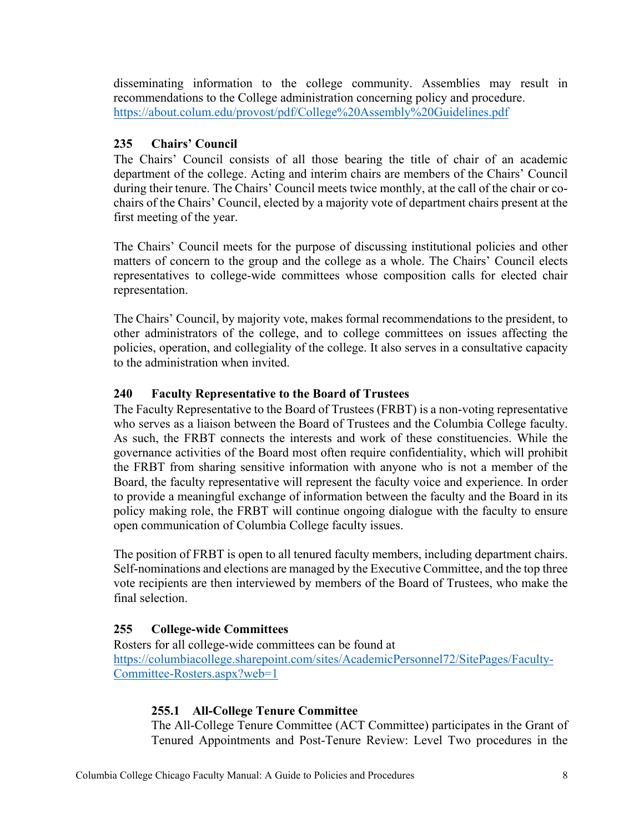disseminating information to the college community. Assemblies may result in recommendations to the College administration concerning policy and procedure. <https://about.colum.edu/provost/pdf/College%20Assembly%20Guidelines.pdf>

# <span id="page-7-0"></span>**235 Chairs' Council**

The Chairs' Council consists of all those bearing the title of chair of an academic department of the college. Acting and interim chairs are members of the Chairs' Council during their tenure. The Chairs' Council meets twice monthly, at the call of the chair or cochairs of the Chairs' Council, elected by a majority vote of department chairs present at the first meeting of the year.

The Chairs' Council meets for the purpose of discussing institutional policies and other matters of concern to the group and the college as a whole. The Chairs' Council elects representatives to college-wide committees whose composition calls for elected chair representation.

The Chairs' Council, by majority vote, makes formal recommendations to the president, to other administrators of the college, and to college committees on issues affecting the policies, operation, and collegiality of the college. It also serves in a consultative capacity to the administration when invited.

# <span id="page-7-1"></span>**240 Faculty Representative to the Board of Trustees**

The Faculty Representative to the Board of Trustees (FRBT) is a non-voting representative who serves as a liaison between the Board of Trustees and the Columbia College faculty. As such, the FRBT connects the interests and work of these constituencies. While the governance activities of the Board most often require confidentiality, which will prohibit the FRBT from sharing sensitive information with anyone who is not a member of the Board, the faculty representative will represent the faculty voice and experience. In order to provide a meaningful exchange of information between the faculty and the Board in its policy making role, the FRBT will continue ongoing dialogue with the faculty to ensure open communication of Columbia College faculty issues.

The position of FRBT is open to all tenured faculty members, including department chairs. Self-nominations and elections are managed by the Executive Committee, and the top three vote recipients are then interviewed by members of the Board of Trustees, who make the final selection.

## <span id="page-7-2"></span>**255 College-wide Committees**

<span id="page-7-3"></span>Rosters for all college-wide committees can be found at [https://columbiacollege.sharepoint.com/sites/AcademicPersonnel72/SitePages/Faculty-](https://columbiacollege.sharepoint.com/sites/AcademicPersonnel72/SitePages/Faculty-Committee-Rosters.aspx?web=1)[Committee-Rosters.aspx?web=1](https://columbiacollege.sharepoint.com/sites/AcademicPersonnel72/SitePages/Faculty-Committee-Rosters.aspx?web=1)

## **255.1 All-College Tenure Committee**

The All-College Tenure Committee (ACT Committee) participates in the Grant of Tenured Appointments and Post-Tenure Review: Level Two procedures in the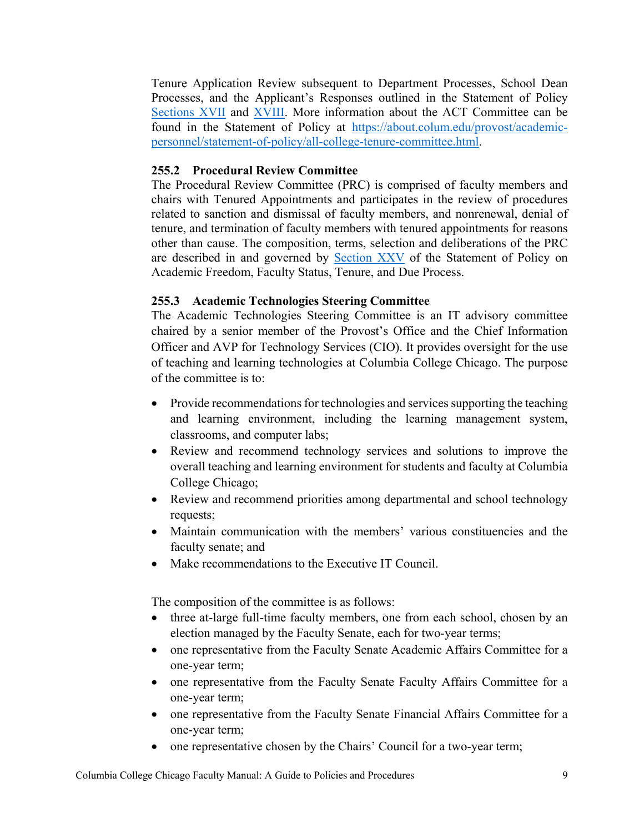Tenure Application Review subsequent to Department Processes, School Dean Processes, and the Applicant's Responses outlined in the Statement of Policy [Sections XVII](https://about.colum.edu/provost/academic-personnel/statement-of-policy/grant-of-tenured-appointments.html) and [XVIII.](https://about.colum.edu/provost/academic-personnel/statement-of-policy/review-and-evaluation-of-faculty-members-with-tenured-appointments.html) More information about the ACT Committee can be found in the Statement of Policy at [https://about.colum.edu/provost/academic](https://about.colum.edu/provost/academic-personnel/statement-of-policy/all-college-tenure-committee.html)[personnel/statement-of-policy/all-college-tenure-committee.html.](https://about.colum.edu/provost/academic-personnel/statement-of-policy/all-college-tenure-committee.html)

## <span id="page-8-0"></span>**255.2 Procedural Review Committee**

The Procedural Review Committee (PRC) is comprised of faculty members and chairs with Tenured Appointments and participates in the review of procedures related to sanction and dismissal of faculty members, and nonrenewal, denial of tenure, and termination of faculty members with tenured appointments for reasons other than cause. The composition, terms, selection and deliberations of the PRC are described in and governed by [Section XXV](https://about.colum.edu/provost/academic-personnel/statement-of-policy/procedural-review-committee.html) of the Statement of Policy on Academic Freedom, Faculty Status, Tenure, and Due Process.

## <span id="page-8-1"></span>**255.3 Academic Technologies Steering Committee**

The Academic Technologies Steering Committee is an IT advisory committee chaired by a senior member of the Provost's Office and the Chief Information Officer and AVP for Technology Services (CIO). It provides oversight for the use of teaching and learning technologies at Columbia College Chicago. The purpose of the committee is to:

- Provide recommendations for technologies and services supporting the teaching and learning environment, including the learning management system, classrooms, and computer labs;
- Review and recommend technology services and solutions to improve the overall teaching and learning environment for students and faculty at Columbia College Chicago;
- Review and recommend priorities among departmental and school technology requests;
- Maintain communication with the members' various constituencies and the faculty senate; and
- Make recommendations to the Executive IT Council.

The composition of the committee is as follows:

- three at-large full-time faculty members, one from each school, chosen by an election managed by the Faculty Senate, each for two-year terms;
- one representative from the Faculty Senate Academic Affairs Committee for a one-year term;
- one representative from the Faculty Senate Faculty Affairs Committee for a one-year term;
- one representative from the Faculty Senate Financial Affairs Committee for a one-year term;
- one representative chosen by the Chairs' Council for a two-year term;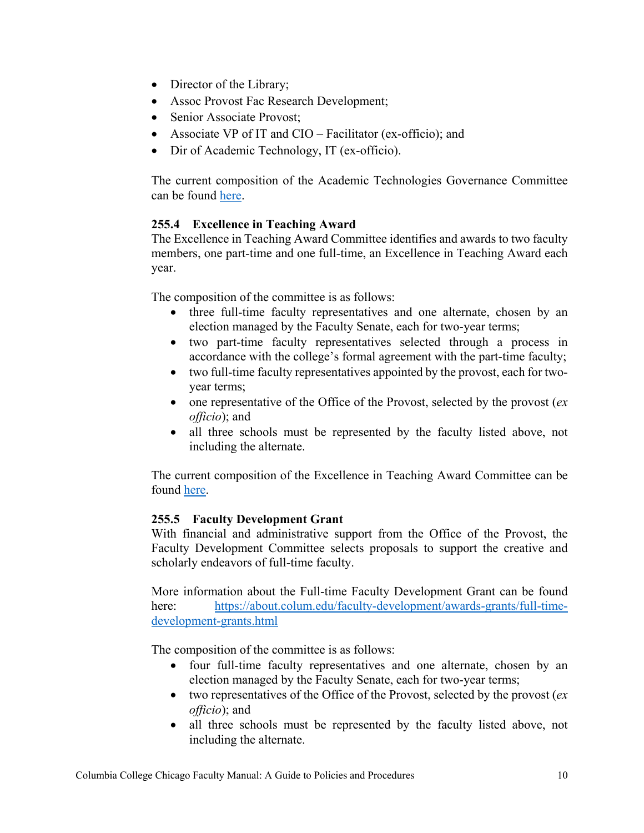- Director of the Library;
- Assoc Provost Fac Research Development;
- Senior Associate Provost:
- Associate VP of IT and CIO Facilitator (ex-officio); and
- Dir of Academic Technology, IT (ex-officio).

The current composition of the Academic Technologies Governance Committee can be found [here.](https://columbiacollege.sharepoint.com/sites/AcademicPersonnel72/SitePages/Faculty-Committee-Rosters.aspx?web=1)

## <span id="page-9-0"></span>**255.4 Excellence in Teaching Award**

The Excellence in Teaching Award Committee identifies and awards to two faculty members, one part-time and one full-time, an Excellence in Teaching Award each year.

The composition of the committee is as follows:

- three full-time faculty representatives and one alternate, chosen by an election managed by the Faculty Senate, each for two-year terms;
- two part-time faculty representatives selected through a process in accordance with the college's formal agreement with the part-time faculty;
- two full-time faculty representatives appointed by the provost, each for twoyear terms;
- one representative of the Office of the Provost, selected by the provost (*ex officio*); and
- all three schools must be represented by the faculty listed above, not including the alternate.

The current composition of the Excellence in Teaching Award Committee can be found [here.](https://columbiacollege.sharepoint.com/sites/AcademicPersonnel72/SitePages/Faculty-Committee-Rosters.aspx?web=1)

## <span id="page-9-1"></span>**255.5 Faculty Development Grant**

With financial and administrative support from the Office of the Provost, the Faculty Development Committee selects proposals to support the creative and scholarly endeavors of full-time faculty.

More information about the Full-time Faculty Development Grant can be found here: [https://about.colum.edu/faculty-development/awards-grants/full-time](https://about.colum.edu/faculty-development/awards-grants/full-time-development-grants.html)[development-grants.html](https://about.colum.edu/faculty-development/awards-grants/full-time-development-grants.html)

The composition of the committee is as follows:

- four full-time faculty representatives and one alternate, chosen by an election managed by the Faculty Senate, each for two-year terms;
- two representatives of the Office of the Provost, selected by the provost (*ex officio*); and
- all three schools must be represented by the faculty listed above, not including the alternate.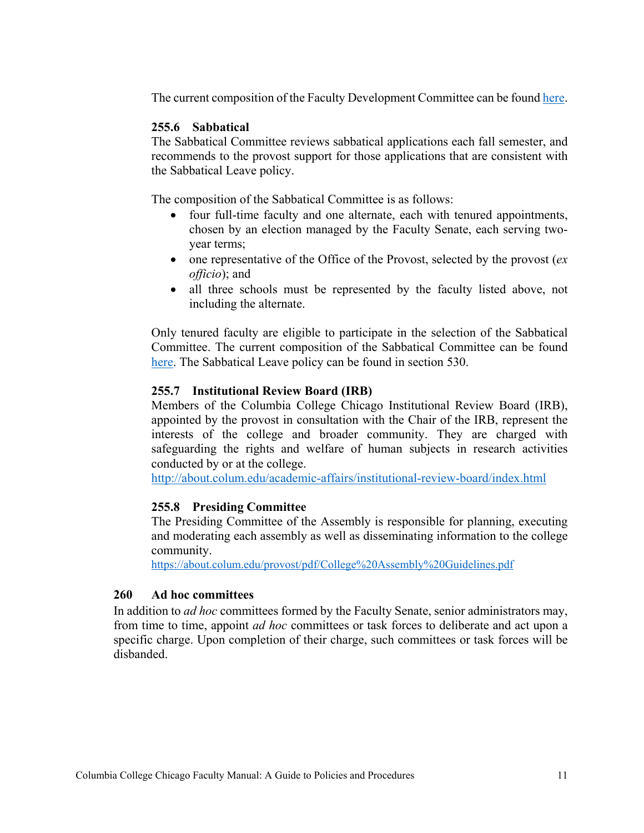The current composition of the Faculty Development Committee can be found [here.](https://columbiacollege.sharepoint.com/sites/AcademicPersonnel72/SitePages/Faculty-Committee-Rosters.aspx?web=1)

## <span id="page-10-0"></span>**255.6 Sabbatical**

The Sabbatical Committee reviews sabbatical applications each fall semester, and recommends to the provost support for those applications that are consistent with the Sabbatical Leave policy.

The composition of the Sabbatical Committee is as follows:

- four full-time faculty and one alternate, each with tenured appointments, chosen by an election managed by the Faculty Senate, each serving twoyear terms;
- one representative of the Office of the Provost, selected by the provost (*ex officio*); and
- all three schools must be represented by the faculty listed above, not including the alternate.

Only tenured faculty are eligible to participate in the selection of the Sabbatical Committee. The current composition of the Sabbatical Committee can be found [here.](https://columbiacollege.sharepoint.com/sites/AcademicPersonnel72/SitePages/Faculty-Committee-Rosters.aspx?web=1) The Sabbatical Leave policy can be found in section 530.

## <span id="page-10-1"></span>**255.7 Institutional Review Board (IRB)**

Members of the Columbia College Chicago Institutional Review Board (IRB), appointed by the provost in consultation with the Chair of the IRB, represent the interests of the college and broader community. They are charged with safeguarding the rights and welfare of human subjects in research activities conducted by or at the college.

<http://about.colum.edu/academic-affairs/institutional-review-board/index.html>

## <span id="page-10-2"></span>**255.8 Presiding Committee**

The Presiding Committee of the Assembly is responsible for planning, executing and moderating each assembly as well as disseminating information to the college community.

<https://about.colum.edu/provost/pdf/College%20Assembly%20Guidelines.pdf>

### <span id="page-10-3"></span>**260 Ad hoc committees**

In addition to *ad hoc* committees formed by the Faculty Senate, senior administrators may, from time to time, appoint *ad hoc* committees or task forces to deliberate and act upon a specific charge. Upon completion of their charge, such committees or task forces will be disbanded.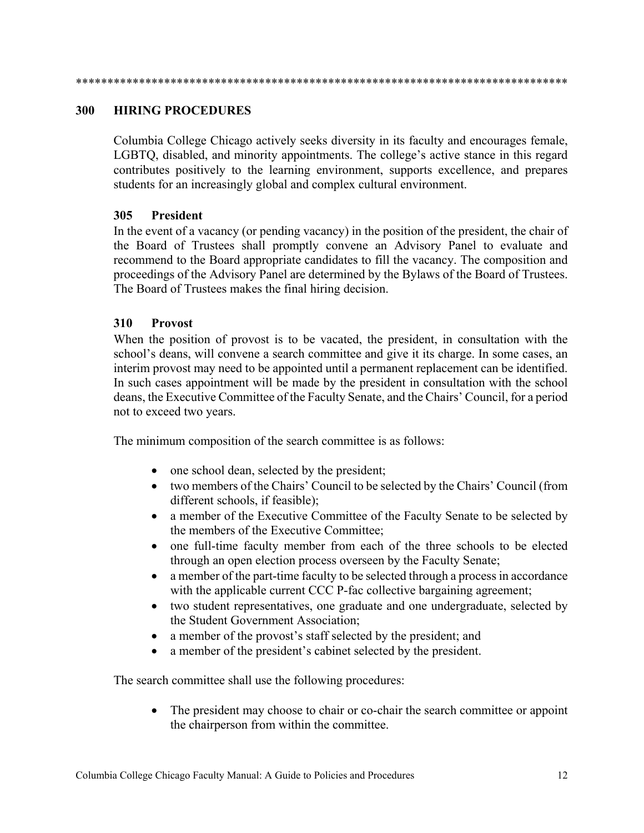#### <span id="page-11-0"></span>**300 HIRING PROCEDURES**

Columbia College Chicago actively seeks diversity in its faculty and encourages female, LGBTQ, disabled, and minority appointments. The college's active stance in this regard contributes positively to the learning environment, supports excellence, and prepares students for an increasingly global and complex cultural environment.

### <span id="page-11-1"></span>**305 President**

In the event of a vacancy (or pending vacancy) in the position of the president, the chair of the Board of Trustees shall promptly convene an Advisory Panel to evaluate and recommend to the Board appropriate candidates to fill the vacancy. The composition and proceedings of the Advisory Panel are determined by the Bylaws of the Board of Trustees. The Board of Trustees makes the final hiring decision.

#### <span id="page-11-2"></span>**310 Provost**

When the position of provost is to be vacated, the president, in consultation with the school's deans, will convene a search committee and give it its charge. In some cases, an interim provost may need to be appointed until a permanent replacement can be identified. In such cases appointment will be made by the president in consultation with the school deans, the Executive Committee of the Faculty Senate, and the Chairs' Council, for a period not to exceed two years.

The minimum composition of the search committee is as follows:

- one school dean, selected by the president;
- two members of the Chairs' Council to be selected by the Chairs' Council (from different schools, if feasible);
- a member of the Executive Committee of the Faculty Senate to be selected by the members of the Executive Committee;
- one full-time faculty member from each of the three schools to be elected through an open election process overseen by the Faculty Senate;
- a member of the part-time faculty to be selected through a process in accordance with the applicable current CCC P-fac collective bargaining agreement;
- two student representatives, one graduate and one undergraduate, selected by the Student Government Association;
- a member of the provost's staff selected by the president; and
- a member of the president's cabinet selected by the president.

The search committee shall use the following procedures:

• The president may choose to chair or co-chair the search committee or appoint the chairperson from within the committee.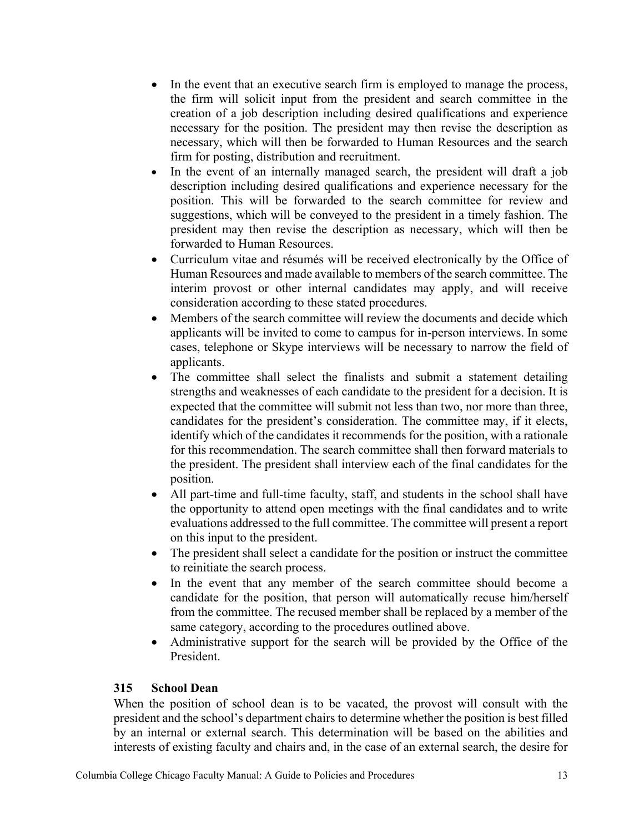- In the event that an executive search firm is employed to manage the process, the firm will solicit input from the president and search committee in the creation of a job description including desired qualifications and experience necessary for the position. The president may then revise the description as necessary, which will then be forwarded to Human Resources and the search firm for posting, distribution and recruitment.
- In the event of an internally managed search, the president will draft a job description including desired qualifications and experience necessary for the position. This will be forwarded to the search committee for review and suggestions, which will be conveyed to the president in a timely fashion. The president may then revise the description as necessary, which will then be forwarded to Human Resources.
- Curriculum vitae and résumés will be received electronically by the Office of Human Resources and made available to members of the search committee. The interim provost or other internal candidates may apply, and will receive consideration according to these stated procedures.
- Members of the search committee will review the documents and decide which applicants will be invited to come to campus for in-person interviews. In some cases, telephone or Skype interviews will be necessary to narrow the field of applicants.
- The committee shall select the finalists and submit a statement detailing strengths and weaknesses of each candidate to the president for a decision. It is expected that the committee will submit not less than two, nor more than three, candidates for the president's consideration. The committee may, if it elects, identify which of the candidates it recommends for the position, with a rationale for this recommendation. The search committee shall then forward materials to the president. The president shall interview each of the final candidates for the position.
- All part-time and full-time faculty, staff, and students in the school shall have the opportunity to attend open meetings with the final candidates and to write evaluations addressed to the full committee. The committee will present a report on this input to the president.
- The president shall select a candidate for the position or instruct the committee to reinitiate the search process.
- In the event that any member of the search committee should become a candidate for the position, that person will automatically recuse him/herself from the committee. The recused member shall be replaced by a member of the same category, according to the procedures outlined above.
- Administrative support for the search will be provided by the Office of the President.

## <span id="page-12-0"></span>**315 School Dean**

When the position of school dean is to be vacated, the provost will consult with the president and the school's department chairs to determine whether the position is best filled by an internal or external search. This determination will be based on the abilities and interests of existing faculty and chairs and, in the case of an external search, the desire for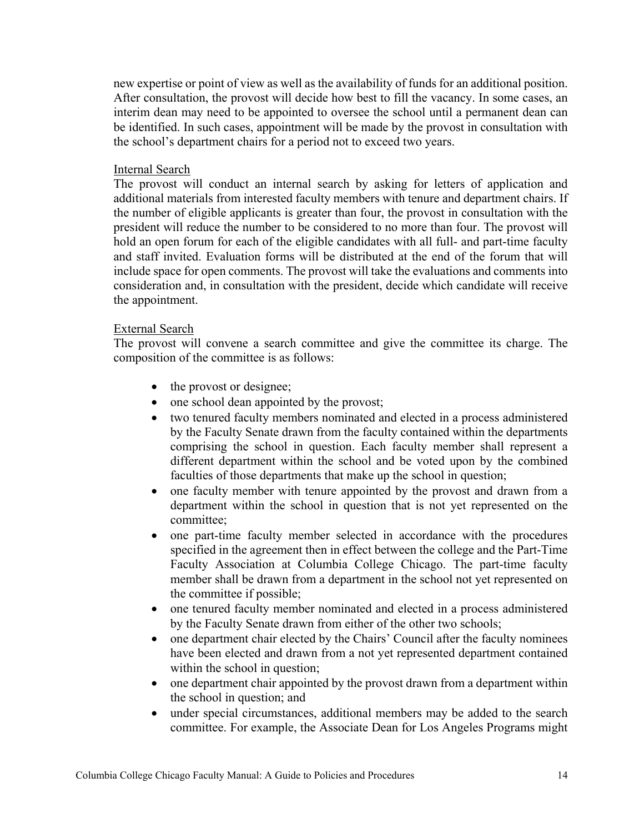new expertise or point of view as well as the availability of funds for an additional position. After consultation, the provost will decide how best to fill the vacancy. In some cases, an interim dean may need to be appointed to oversee the school until a permanent dean can be identified. In such cases, appointment will be made by the provost in consultation with the school's department chairs for a period not to exceed two years.

#### Internal Search

The provost will conduct an internal search by asking for letters of application and additional materials from interested faculty members with tenure and department chairs. If the number of eligible applicants is greater than four, the provost in consultation with the president will reduce the number to be considered to no more than four. The provost will hold an open forum for each of the eligible candidates with all full- and part-time faculty and staff invited. Evaluation forms will be distributed at the end of the forum that will include space for open comments. The provost will take the evaluations and comments into consideration and, in consultation with the president, decide which candidate will receive the appointment.

#### External Search

The provost will convene a search committee and give the committee its charge. The composition of the committee is as follows:

- the provost or designee;
- one school dean appointed by the provost;
- two tenured faculty members nominated and elected in a process administered by the Faculty Senate drawn from the faculty contained within the departments comprising the school in question. Each faculty member shall represent a different department within the school and be voted upon by the combined faculties of those departments that make up the school in question;
- one faculty member with tenure appointed by the provost and drawn from a department within the school in question that is not yet represented on the committee;
- one part-time faculty member selected in accordance with the procedures specified in the agreement then in effect between the college and the Part-Time Faculty Association at Columbia College Chicago. The part-time faculty member shall be drawn from a department in the school not yet represented on the committee if possible;
- one tenured faculty member nominated and elected in a process administered by the Faculty Senate drawn from either of the other two schools;
- one department chair elected by the Chairs' Council after the faculty nominees have been elected and drawn from a not yet represented department contained within the school in question;
- one department chair appointed by the provost drawn from a department within the school in question; and
- under special circumstances, additional members may be added to the search committee. For example, the Associate Dean for Los Angeles Programs might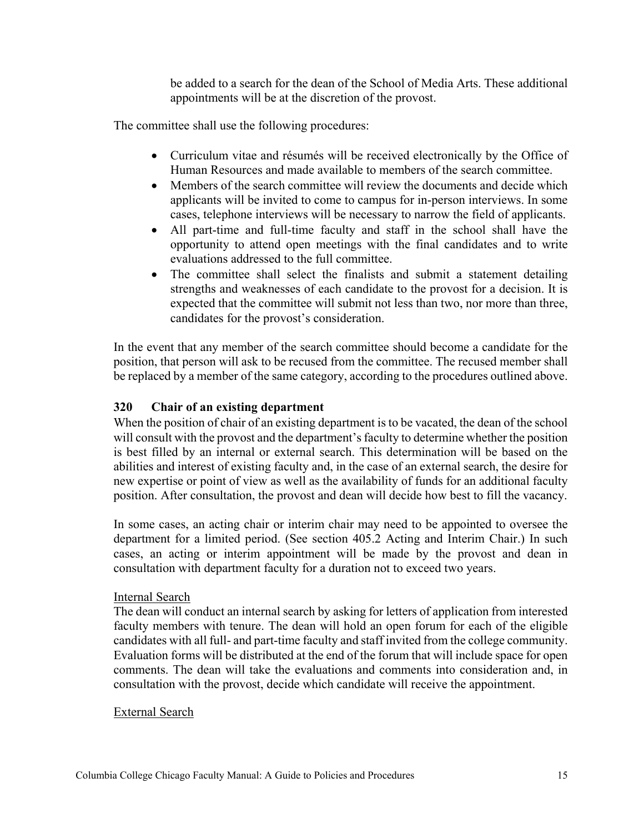be added to a search for the dean of the School of Media Arts. These additional appointments will be at the discretion of the provost.

The committee shall use the following procedures:

- Curriculum vitae and résumés will be received electronically by the Office of Human Resources and made available to members of the search committee.
- Members of the search committee will review the documents and decide which applicants will be invited to come to campus for in-person interviews. In some cases, telephone interviews will be necessary to narrow the field of applicants.
- All part-time and full-time faculty and staff in the school shall have the opportunity to attend open meetings with the final candidates and to write evaluations addressed to the full committee.
- The committee shall select the finalists and submit a statement detailing strengths and weaknesses of each candidate to the provost for a decision. It is expected that the committee will submit not less than two, nor more than three, candidates for the provost's consideration.

In the event that any member of the search committee should become a candidate for the position, that person will ask to be recused from the committee. The recused member shall be replaced by a member of the same category, according to the procedures outlined above.

## <span id="page-14-0"></span>**320 Chair of an existing department**

When the position of chair of an existing department is to be vacated, the dean of the school will consult with the provost and the department's faculty to determine whether the position is best filled by an internal or external search. This determination will be based on the abilities and interest of existing faculty and, in the case of an external search, the desire for new expertise or point of view as well as the availability of funds for an additional faculty position. After consultation, the provost and dean will decide how best to fill the vacancy.

In some cases, an acting chair or interim chair may need to be appointed to oversee the department for a limited period. (See section 405.2 Acting and Interim Chair.) In such cases, an acting or interim appointment will be made by the provost and dean in consultation with department faculty for a duration not to exceed two years.

### Internal Search

The dean will conduct an internal search by asking for letters of application from interested faculty members with tenure. The dean will hold an open forum for each of the eligible candidates with all full- and part-time faculty and staff invited from the college community. Evaluation forms will be distributed at the end of the forum that will include space for open comments. The dean will take the evaluations and comments into consideration and, in consultation with the provost, decide which candidate will receive the appointment.

### External Search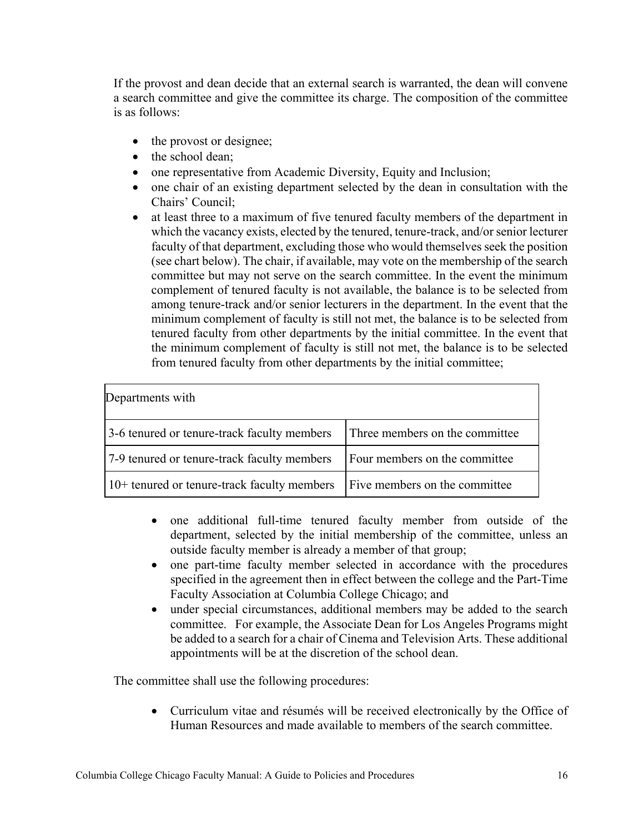If the provost and dean decide that an external search is warranted, the dean will convene a search committee and give the committee its charge. The composition of the committee is as follows:

- the provost or designee;
- the school dean;
- one representative from Academic Diversity, Equity and Inclusion;
- one chair of an existing department selected by the dean in consultation with the Chairs' Council;
- at least three to a maximum of five tenured faculty members of the department in which the vacancy exists, elected by the tenured, tenure-track, and/or senior lecturer faculty of that department, excluding those who would themselves seek the position (see chart below). The chair, if available, may vote on the membership of the search committee but may not serve on the search committee. In the event the minimum complement of tenured faculty is not available, the balance is to be selected from among tenure-track and/or senior lecturers in the department. In the event that the minimum complement of faculty is still not met, the balance is to be selected from tenured faculty from other departments by the initial committee. In the event that the minimum complement of faculty is still not met, the balance is to be selected from tenured faculty from other departments by the initial committee;

| Departments with                                                                          |                                |  |  |  |  |
|-------------------------------------------------------------------------------------------|--------------------------------|--|--|--|--|
| 3-6 tenured or tenure-track faculty members                                               | Three members on the committee |  |  |  |  |
| 7-9 tenured or tenure-track faculty members                                               | Four members on the committee  |  |  |  |  |
| $\vert$ 10+ tenured or tenure-track faculty members $\vert$ Five members on the committee |                                |  |  |  |  |

- one additional full-time tenured faculty member from outside of the department, selected by the initial membership of the committee, unless an outside faculty member is already a member of that group;
- one part-time faculty member selected in accordance with the procedures specified in the agreement then in effect between the college and the Part-Time Faculty Association at Columbia College Chicago; and
- under special circumstances, additional members may be added to the search committee. For example, the Associate Dean for Los Angeles Programs might be added to a search for a chair of Cinema and Television Arts. These additional appointments will be at the discretion of the school dean.

The committee shall use the following procedures:

• Curriculum vitae and résumés will be received electronically by the Office of Human Resources and made available to members of the search committee.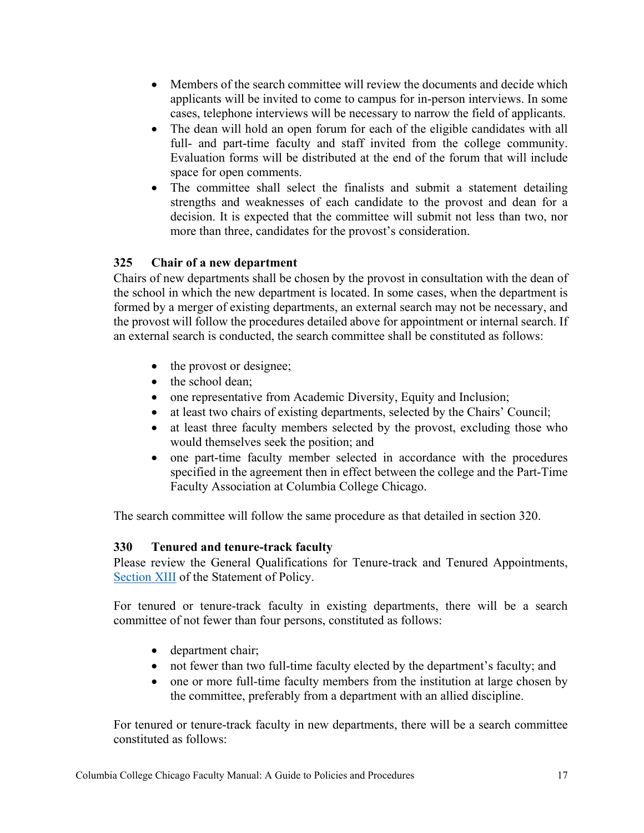- Members of the search committee will review the documents and decide which applicants will be invited to come to campus for in-person interviews. In some cases, telephone interviews will be necessary to narrow the field of applicants.
- The dean will hold an open forum for each of the eligible candidates with all full- and part-time faculty and staff invited from the college community. Evaluation forms will be distributed at the end of the forum that will include space for open comments.
- The committee shall select the finalists and submit a statement detailing strengths and weaknesses of each candidate to the provost and dean for a decision. It is expected that the committee will submit not less than two, nor more than three, candidates for the provost's consideration.

# <span id="page-16-0"></span>**325 Chair of a new department**

Chairs of new departments shall be chosen by the provost in consultation with the dean of the school in which the new department is located. In some cases, when the department is formed by a merger of existing departments, an external search may not be necessary, and the provost will follow the procedures detailed above for appointment or internal search. If an external search is conducted, the search committee shall be constituted as follows:

- the provost or designee;
- the school dean;
- one representative from Academic Diversity, Equity and Inclusion;
- at least two chairs of existing departments, selected by the Chairs' Council;
- at least three faculty members selected by the provost, excluding those who would themselves seek the position; and
- one part-time faculty member selected in accordance with the procedures specified in the agreement then in effect between the college and the Part-Time Faculty Association at Columbia College Chicago.

The search committee will follow the same procedure as that detailed in section 320.

## <span id="page-16-1"></span>**330 Tenured and tenure-track faculty**

Please review the General Qualifications for Tenure-track and Tenured Appointments, [Section XIII](https://about.colum.edu/provost/academic-personnel/statement-of-policy/general-qualifications-for-tenure-track-and-tenured-appointments.html) of the Statement of Policy.

For tenured or tenure-track faculty in existing departments, there will be a search committee of not fewer than four persons, constituted as follows:

- department chair;
- not fewer than two full-time faculty elected by the department's faculty; and
- one or more full-time faculty members from the institution at large chosen by the committee, preferably from a department with an allied discipline.

For tenured or tenure-track faculty in new departments, there will be a search committee constituted as follows: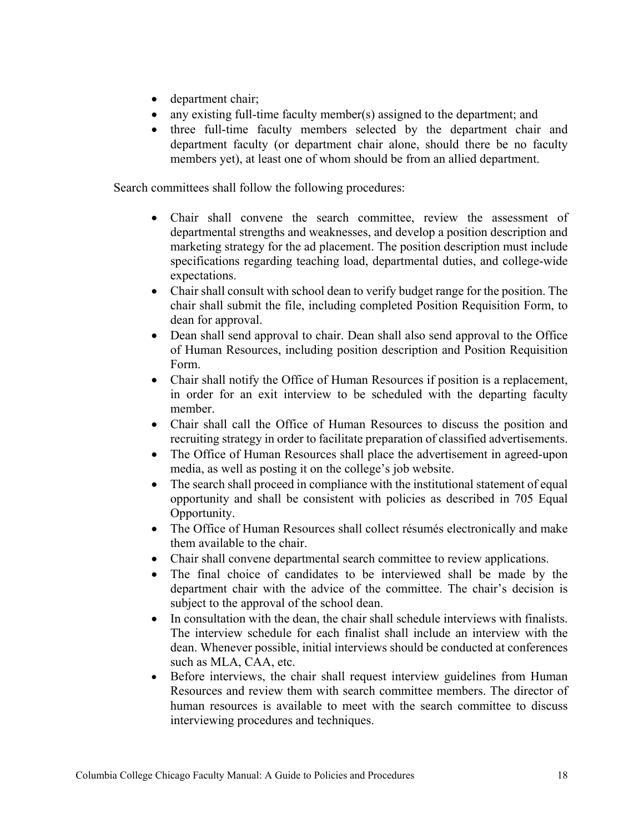- department chair;
- any existing full-time faculty member(s) assigned to the department; and
- three full-time faculty members selected by the department chair and department faculty (or department chair alone, should there be no faculty members yet), at least one of whom should be from an allied department.

Search committees shall follow the following procedures:

- Chair shall convene the search committee, review the assessment of departmental strengths and weaknesses, and develop a position description and marketing strategy for the ad placement. The position description must include specifications regarding teaching load, departmental duties, and college-wide expectations.
- Chair shall consult with school dean to verify budget range for the position. The chair shall submit the file, including completed Position Requisition Form, to dean for approval.
- Dean shall send approval to chair. Dean shall also send approval to the Office of Human Resources, including position description and Position Requisition Form.
- Chair shall notify the Office of Human Resources if position is a replacement, in order for an exit interview to be scheduled with the departing faculty member.
- Chair shall call the Office of Human Resources to discuss the position and recruiting strategy in order to facilitate preparation of classified advertisements.
- The Office of Human Resources shall place the advertisement in agreed-upon media, as well as posting it on the college's job website.
- The search shall proceed in compliance with the institutional statement of equal opportunity and shall be consistent with policies as described in 705 Equal Opportunity.
- The Office of Human Resources shall collect résumés electronically and make them available to the chair.
- Chair shall convene departmental search committee to review applications.
- The final choice of candidates to be interviewed shall be made by the department chair with the advice of the committee. The chair's decision is subject to the approval of the school dean.
- In consultation with the dean, the chair shall schedule interviews with finalists. The interview schedule for each finalist shall include an interview with the dean. Whenever possible, initial interviews should be conducted at conferences such as MLA, CAA, etc.
- Before interviews, the chair shall request interview guidelines from Human Resources and review them with search committee members. The director of human resources is available to meet with the search committee to discuss interviewing procedures and techniques.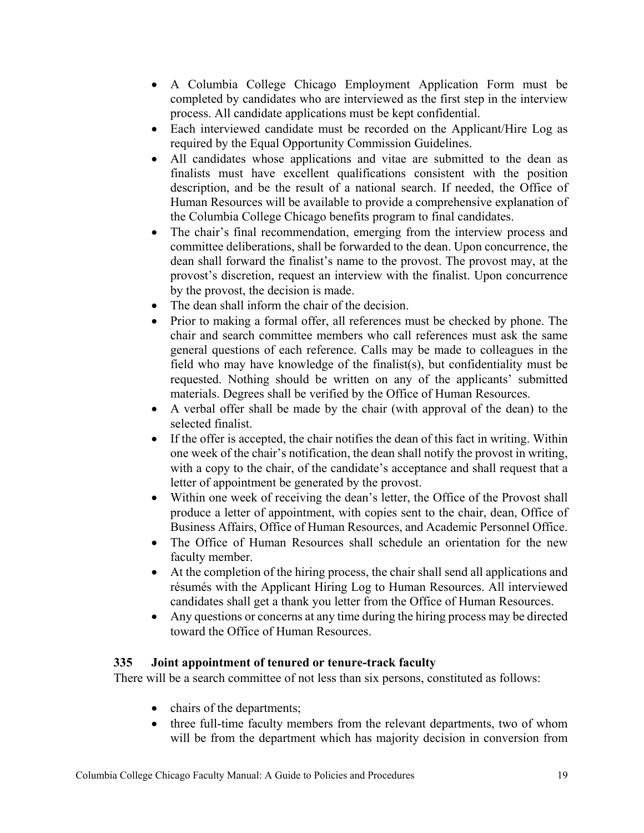- A Columbia College Chicago Employment Application Form must be completed by candidates who are interviewed as the first step in the interview process. All candidate applications must be kept confidential.
- Each interviewed candidate must be recorded on the Applicant/Hire Log as required by the Equal Opportunity Commission Guidelines.
- All candidates whose applications and vitae are submitted to the dean as finalists must have excellent qualifications consistent with the position description, and be the result of a national search. If needed, the Office of Human Resources will be available to provide a comprehensive explanation of the Columbia College Chicago benefits program to final candidates.
- The chair's final recommendation, emerging from the interview process and committee deliberations, shall be forwarded to the dean. Upon concurrence, the dean shall forward the finalist's name to the provost. The provost may, at the provost's discretion, request an interview with the finalist. Upon concurrence by the provost, the decision is made.
- The dean shall inform the chair of the decision.
- Prior to making a formal offer, all references must be checked by phone. The chair and search committee members who call references must ask the same general questions of each reference. Calls may be made to colleagues in the field who may have knowledge of the finalist(s), but confidentiality must be requested. Nothing should be written on any of the applicants' submitted materials. Degrees shall be verified by the Office of Human Resources.
- A verbal offer shall be made by the chair (with approval of the dean) to the selected finalist.
- If the offer is accepted, the chair notifies the dean of this fact in writing. Within one week of the chair's notification, the dean shall notify the provost in writing, with a copy to the chair, of the candidate's acceptance and shall request that a letter of appointment be generated by the provost.
- Within one week of receiving the dean's letter, the Office of the Provost shall produce a letter of appointment, with copies sent to the chair, dean, Office of Business Affairs, Office of Human Resources, and Academic Personnel Office.
- The Office of Human Resources shall schedule an orientation for the new faculty member.
- At the completion of the hiring process, the chair shall send all applications and résumés with the Applicant Hiring Log to Human Resources. All interviewed candidates shall get a thank you letter from the Office of Human Resources.
- Any questions or concerns at any time during the hiring process may be directed toward the Office of Human Resources.

## <span id="page-18-0"></span>**335 Joint appointment of tenured or tenure-track faculty**

There will be a search committee of not less than six persons, constituted as follows:

- chairs of the departments;
- three full-time faculty members from the relevant departments, two of whom will be from the department which has majority decision in conversion from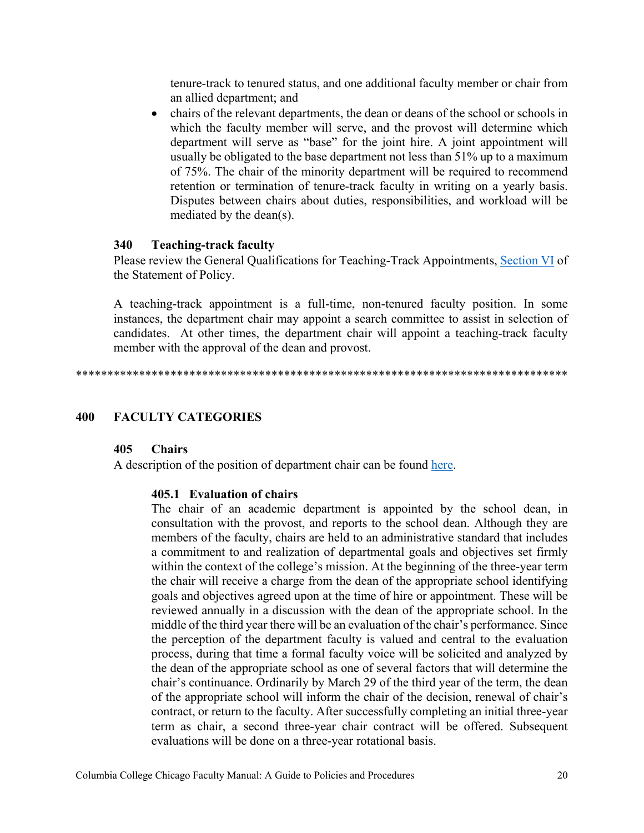tenure-track to tenured status, and one additional faculty member or chair from an allied department; and

• chairs of the relevant departments, the dean or deans of the school or schools in which the faculty member will serve, and the provost will determine which department will serve as "base" for the joint hire. A joint appointment will usually be obligated to the base department not less than 51% up to a maximum of 75%. The chair of the minority department will be required to recommend retention or termination of tenure-track faculty in writing on a yearly basis. Disputes between chairs about duties, responsibilities, and workload will be mediated by the dean(s).

### <span id="page-19-0"></span>**340 Teaching-track faculty**

Please review the General Qualifications for Teaching-Track Appointments, [Section VI](https://about.colum.edu/provost/academic-personnel/statement-of-policy/general-qualifications-for-teaching-track-appointments.html) of the Statement of Policy.

A teaching-track appointment is a full-time, non-tenured faculty position. In some instances, the department chair may appoint a search committee to assist in selection of candidates. At other times, the department chair will appoint a teaching-track faculty member with the approval of the dean and provost.

\*\*\*\*\*\*\*\*\*\*\*\*\*\*\*\*\*\*\*\*\*\*\*\*\*\*\*\*\*\*\*\*\*\*\*\*\*\*\*\*\*\*\*\*\*\*\*\*\*\*\*\*\*\*\*\*\*\*\*\*\*\*\*\*\*\*\*\*\*\*\*\*\*\*\*\*\*\*

#### <span id="page-19-2"></span><span id="page-19-1"></span>**400 FACULTY CATEGORIES**

#### **405 Chairs**

<span id="page-19-3"></span>A description of the position of department chair can be found [here.](https://columbiacollege.sharepoint.com/sites/AcademicPersonnel72/SitePages/Chair-Dean-Resources.aspx)

#### **405.1 Evaluation of chairs**

The chair of an academic department is appointed by the school dean, in consultation with the provost, and reports to the school dean. Although they are members of the faculty, chairs are held to an administrative standard that includes a commitment to and realization of departmental goals and objectives set firmly within the context of the college's mission. At the beginning of the three-year term the chair will receive a charge from the dean of the appropriate school identifying goals and objectives agreed upon at the time of hire or appointment. These will be reviewed annually in a discussion with the dean of the appropriate school. In the middle of the third year there will be an evaluation of the chair's performance. Since the perception of the department faculty is valued and central to the evaluation process, during that time a formal faculty voice will be solicited and analyzed by the dean of the appropriate school as one of several factors that will determine the chair's continuance. Ordinarily by March 29 of the third year of the term, the dean of the appropriate school will inform the chair of the decision, renewal of chair's contract, or return to the faculty. After successfully completing an initial three-year term as chair, a second three-year chair contract will be offered. Subsequent evaluations will be done on a three-year rotational basis.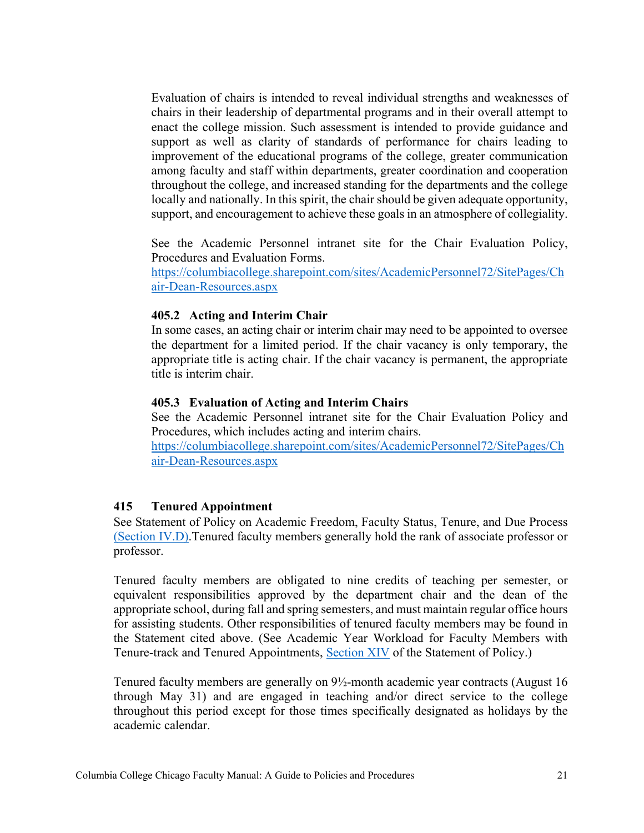Evaluation of chairs is intended to reveal individual strengths and weaknesses of chairs in their leadership of departmental programs and in their overall attempt to enact the college mission. Such assessment is intended to provide guidance and support as well as clarity of standards of performance for chairs leading to improvement of the educational programs of the college, greater communication among faculty and staff within departments, greater coordination and cooperation throughout the college, and increased standing for the departments and the college locally and nationally. In this spirit, the chair should be given adequate opportunity, support, and encouragement to achieve these goals in an atmosphere of collegiality.

See the Academic Personnel intranet site for the Chair Evaluation Policy, Procedures and Evaluation Forms.

https://columbiacollege.sharepoint.com/sites/AcademicPersonnel72/SitePages/Ch air-Dean-Resources.aspx

## <span id="page-20-0"></span>**405.2 Acting and Interim Chair**

In some cases, an acting chair or interim chair may need to be appointed to oversee the department for a limited period. If the chair vacancy is only temporary, the appropriate title is acting chair. If the chair vacancy is permanent, the appropriate title is interim chair.

### <span id="page-20-1"></span>**405.3 Evaluation of Acting and Interim Chairs**

See the Academic Personnel intranet site for the Chair Evaluation Policy and Procedures, which includes acting and interim chairs. https://columbiacollege.sharepoint.com/sites/AcademicPersonnel72/SitePages/Ch

air-Dean-Resources.aspx

### <span id="page-20-2"></span>**415 Tenured Appointment**

See Statement of Policy on Academic Freedom, Faculty Status, Tenure, and Due Process [\(Section](https://about.colum.edu/provost/academic-personnel/statement-of-policy/academic-appointments.html) IV.D).Tenured faculty members generally hold the rank of associate professor or professor.

Tenured faculty members are obligated to nine credits of teaching per semester, or equivalent responsibilities approved by the department chair and the dean of the appropriate school, during fall and spring semesters, and must maintain regular office hours for assisting students. Other responsibilities of tenured faculty members may be found in the Statement cited above. (See Academic Year Workload for Faculty Members with Tenure-track and Tenured Appointments, [Section XIV](https://about.colum.edu/provost/academic-personnel/statement-of-policy/academic-year-workload-for-faculty-members-with-tenure-track-and-tenured-appointments.html) of the Statement of Policy.)

Tenured faculty members are generally on 9½-month academic year contracts (August 16 through May 31) and are engaged in teaching and/or direct service to the college throughout this period except for those times specifically designated as holidays by the academic calendar.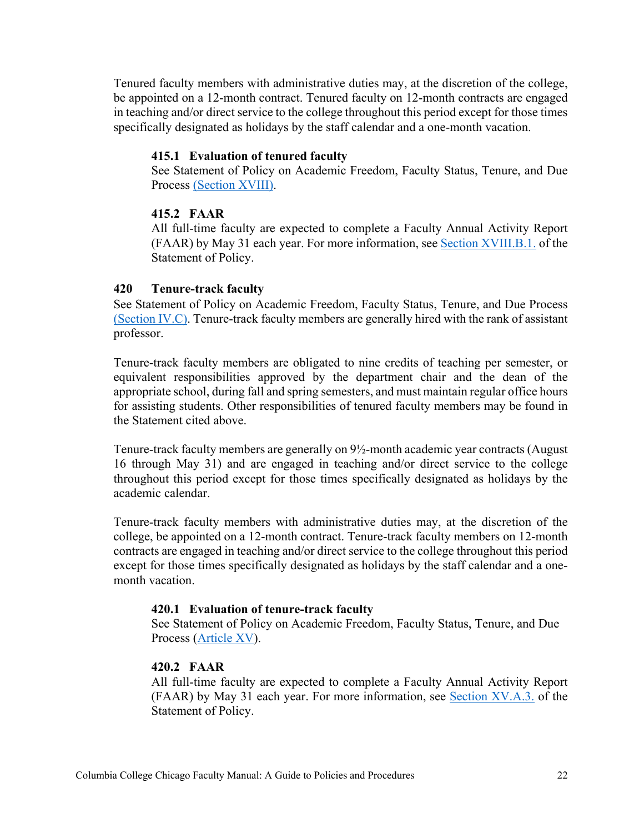Tenured faculty members with administrative duties may, at the discretion of the college, be appointed on a 12-month contract. Tenured faculty on 12-month contracts are engaged in teaching and/or direct service to the college throughout this period except for those times specifically designated as holidays by the staff calendar and a one-month vacation.

#### <span id="page-21-0"></span>**415.1 Evaluation of tenured faculty**

See Statement of Policy on Academic Freedom, Faculty Status, Tenure, and Due Process [\(Section](https://about.colum.edu/provost/academic-personnel/statement-of-policy/review-and-evaluation-of-faculty-members-with-tenured-appointments.html) XVIII).

#### <span id="page-21-1"></span>**415.2 FAAR**

All full-time faculty are expected to complete a Faculty Annual Activity Report (FAAR) by May 31 each year. For more information, see Section [XVIII.B.1.](https://about.colum.edu/provost/academic-personnel/statement-of-policy/review-and-evaluation-of-faculty-members-with-tenured-appointments.html) of the Statement of Policy.

#### <span id="page-21-2"></span>**420 Tenure-track faculty**

See Statement of Policy on Academic Freedom, Faculty Status, Tenure, and Due Process [\(Section IV.C\).](https://about.colum.edu/provost/academic-personnel/statement-of-policy/academic-appointments.html) Tenure-track faculty members are generally hired with the rank of assistant professor.

Tenure-track faculty members are obligated to nine credits of teaching per semester, or equivalent responsibilities approved by the department chair and the dean of the appropriate school, during fall and spring semesters, and must maintain regular office hours for assisting students. Other responsibilities of tenured faculty members may be found in the Statement cited above.

Tenure-track faculty members are generally on 9½-month academic year contracts (August 16 through May 31) and are engaged in teaching and/or direct service to the college throughout this period except for those times specifically designated as holidays by the academic calendar.

Tenure-track faculty members with administrative duties may, at the discretion of the college, be appointed on a 12-month contract. Tenure-track faculty members on 12-month contracts are engaged in teaching and/or direct service to the college throughout this period except for those times specifically designated as holidays by the staff calendar and a onemonth vacation.

#### <span id="page-21-3"></span>**420.1 Evaluation of tenure-track faculty**

See Statement of Policy on Academic Freedom, Faculty Status, Tenure, and Due Process [\(Article XV\)](https://about.colum.edu/provost/academic-personnel/statement-of-policy/evaluation-of-faculty-with-tenure-track-appointments.html).

#### <span id="page-21-4"></span>**420.2 FAAR**

All full-time faculty are expected to complete a Faculty Annual Activity Report (FAAR) by May 31 each year. For more information, see [Section XV.A.3.](https://about.colum.edu/provost/academic-personnel/statement-of-policy/evaluation-of-faculty-with-tenure-track-appointments.html) of the Statement of Policy.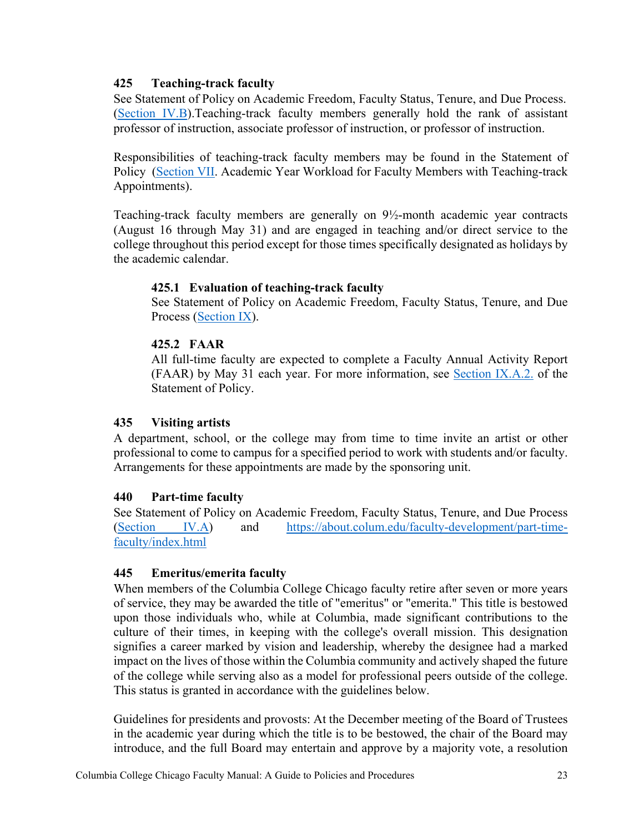## <span id="page-22-0"></span>**425 Teaching-track faculty**

See Statement of Policy on Academic Freedom, Faculty Status, Tenure, and Due Process. [\(Section IV.B\)](https://about.colum.edu/provost/academic-personnel/statement-of-policy/academic-appointments.html).Teaching-track faculty members generally hold the rank of assistant professor of instruction, associate professor of instruction, or professor of instruction.

Responsibilities of teaching-track faculty members may be found in the Statement of Policy [\(Section VII.](https://about.colum.edu/provost/academic-personnel/statement-of-policy/academic-year-workload-for-faculty-members-with-teaching-track-appointments.html) Academic Year Workload for Faculty Members with Teaching-track Appointments).

Teaching-track faculty members are generally on 9½-month academic year contracts (August 16 through May 31) and are engaged in teaching and/or direct service to the college throughout this period except for those times specifically designated as holidays by the academic calendar.

## <span id="page-22-1"></span>**425.1 Evaluation of teaching-track faculty**

See Statement of Policy on Academic Freedom, Faculty Status, Tenure, and Due Process [\(Section IX\)](https://about.colum.edu/provost/academic-personnel/statement-of-policy/evaluation-of-faculty-members-with-teaching-track-appointments.html).

## <span id="page-22-2"></span>**425.2 FAAR**

All full-time faculty are expected to complete a Faculty Annual Activity Report (FAAR) by May 31 each year. For more information, see [Section IX.A.2.](https://about.colum.edu/provost/academic-personnel/statement-of-policy/evaluation-of-faculty-members-with-teaching-track-appointments.html) of the Statement of Policy.

### <span id="page-22-3"></span>**435 Visiting artists**

A department, school, or the college may from time to time invite an artist or other professional to come to campus for a specified period to work with students and/or faculty. Arrangements for these appointments are made by the sponsoring unit.

### <span id="page-22-4"></span>**440 Part-time faculty**

See Statement of Policy on Academic Freedom, Faculty Status, Tenure, and Due Process [\(Section IV.A\)](https://about.colum.edu/provost/academic-personnel/statement-of-policy/academic-appointments.html) and [https://about.colum.edu/faculty-development/part-time](https://about.colum.edu/faculty-development/part-time-faculty/index.html)[faculty/index.html](https://about.colum.edu/faculty-development/part-time-faculty/index.html)

### <span id="page-22-5"></span>**445 Emeritus/emerita faculty**

When members of the Columbia College Chicago faculty retire after seven or more years of service, they may be awarded the title of "emeritus" or "emerita." This title is bestowed upon those individuals who, while at Columbia, made significant contributions to the culture of their times, in keeping with the college's overall mission. This designation signifies a career marked by vision and leadership, whereby the designee had a marked impact on the lives of those within the Columbia community and actively shaped the future of the college while serving also as a model for professional peers outside of the college. This status is granted in accordance with the guidelines below.

Guidelines for presidents and provosts: At the December meeting of the Board of Trustees in the academic year during which the title is to be bestowed, the chair of the Board may introduce, and the full Board may entertain and approve by a majority vote, a resolution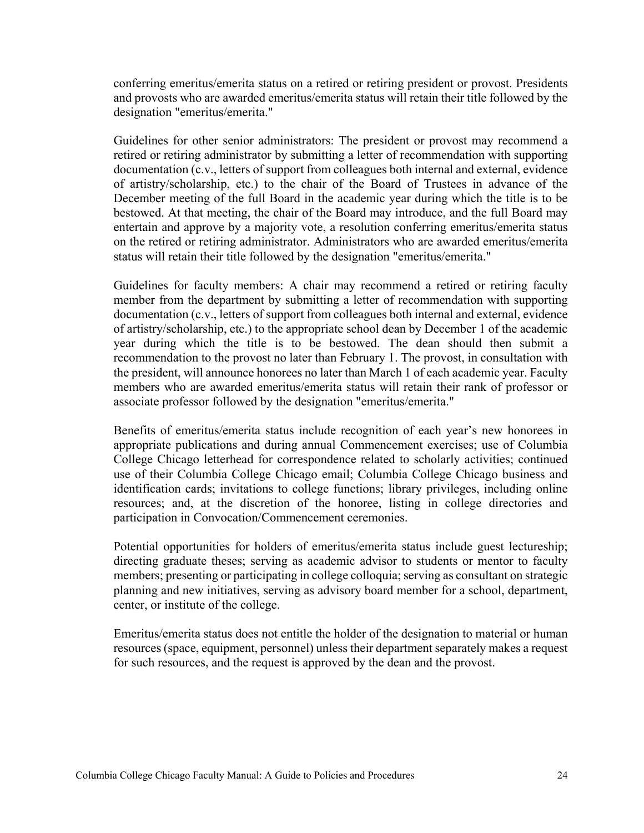conferring emeritus/emerita status on a retired or retiring president or provost. Presidents and provosts who are awarded emeritus/emerita status will retain their title followed by the designation "emeritus/emerita."

Guidelines for other senior administrators: The president or provost may recommend a retired or retiring administrator by submitting a letter of recommendation with supporting documentation (c.v., letters of support from colleagues both internal and external, evidence of artistry/scholarship, etc.) to the chair of the Board of Trustees in advance of the December meeting of the full Board in the academic year during which the title is to be bestowed. At that meeting, the chair of the Board may introduce, and the full Board may entertain and approve by a majority vote, a resolution conferring emeritus/emerita status on the retired or retiring administrator. Administrators who are awarded emeritus/emerita status will retain their title followed by the designation "emeritus/emerita."

Guidelines for faculty members: A chair may recommend a retired or retiring faculty member from the department by submitting a letter of recommendation with supporting documentation (c.v., letters of support from colleagues both internal and external, evidence of artistry/scholarship, etc.) to the appropriate school dean by December 1 of the academic year during which the title is to be bestowed. The dean should then submit a recommendation to the provost no later than February 1. The provost, in consultation with the president, will announce honorees no later than March 1 of each academic year. Faculty members who are awarded emeritus/emerita status will retain their rank of professor or associate professor followed by the designation "emeritus/emerita."

Benefits of emeritus/emerita status include recognition of each year's new honorees in appropriate publications and during annual Commencement exercises; use of Columbia College Chicago letterhead for correspondence related to scholarly activities; continued use of their Columbia College Chicago email; Columbia College Chicago business and identification cards; invitations to college functions; library privileges, including online resources; and, at the discretion of the honoree, listing in college directories and participation in Convocation/Commencement ceremonies.

Potential opportunities for holders of emeritus/emerita status include guest lectureship; directing graduate theses; serving as academic advisor to students or mentor to faculty members; presenting or participating in college colloquia; serving as consultant on strategic planning and new initiatives, serving as advisory board member for a school, department, center, or institute of the college.

Emeritus/emerita status does not entitle the holder of the designation to material or human resources (space, equipment, personnel) unless their department separately makes a request for such resources, and the request is approved by the dean and the provost.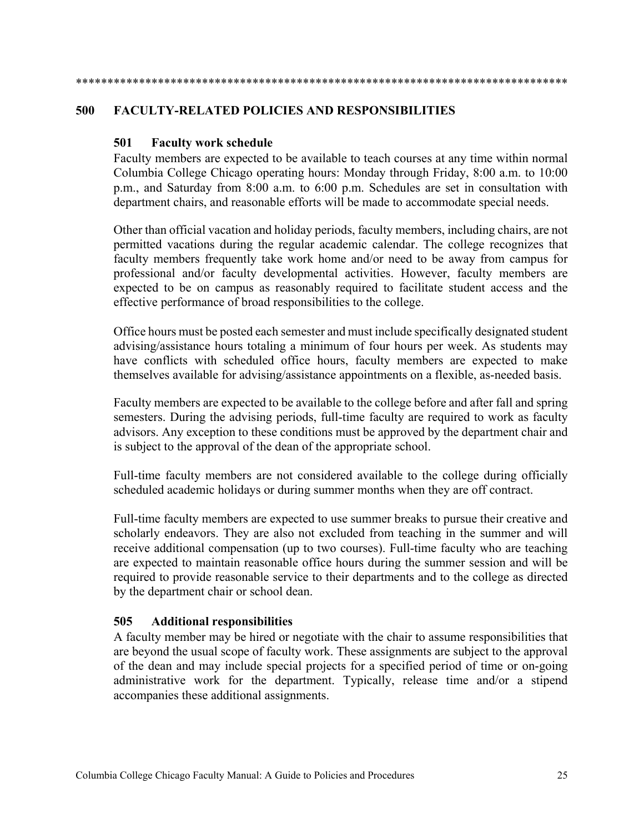# \*\*\*\*\*\*\*\*\*\*\*\*\*\*\*\*\*\*\*\*\*\*\*\*\*\*\*\*\*\*\*\*\*\*\*\*\*\*\*\*\*\*\*\*\*\*\*\*\*\*\*\*\*\*\*\*\*\*\*\*\*\*\*\*\*\*\*\*\*\*\*\*\*\*\*\*\*\*

### <span id="page-24-1"></span><span id="page-24-0"></span>**500 FACULTY-RELATED POLICIES AND RESPONSIBILITIES**

### **501 Faculty work schedule**

Faculty members are expected to be available to teach courses at any time within normal Columbia College Chicago operating hours: Monday through Friday, 8:00 a.m. to 10:00 p.m., and Saturday from 8:00 a.m. to 6:00 p.m. Schedules are set in consultation with department chairs, and reasonable efforts will be made to accommodate special needs.

Other than official vacation and holiday periods, faculty members, including chairs, are not permitted vacations during the regular academic calendar. The college recognizes that faculty members frequently take work home and/or need to be away from campus for professional and/or faculty developmental activities. However, faculty members are expected to be on campus as reasonably required to facilitate student access and the effective performance of broad responsibilities to the college.

Office hours must be posted each semester and must include specifically designated student advising/assistance hours totaling a minimum of four hours per week. As students may have conflicts with scheduled office hours, faculty members are expected to make themselves available for advising/assistance appointments on a flexible, as-needed basis.

Faculty members are expected to be available to the college before and after fall and spring semesters. During the advising periods, full-time faculty are required to work as faculty advisors. Any exception to these conditions must be approved by the department chair and is subject to the approval of the dean of the appropriate school.

Full-time faculty members are not considered available to the college during officially scheduled academic holidays or during summer months when they are off contract.

Full-time faculty members are expected to use summer breaks to pursue their creative and scholarly endeavors. They are also not excluded from teaching in the summer and will receive additional compensation (up to two courses). Full-time faculty who are teaching are expected to maintain reasonable office hours during the summer session and will be required to provide reasonable service to their departments and to the college as directed by the department chair or school dean.

### <span id="page-24-2"></span>**505 Additional responsibilities**

A faculty member may be hired or negotiate with the chair to assume responsibilities that are beyond the usual scope of faculty work. These assignments are subject to the approval of the dean and may include special projects for a specified period of time or on-going administrative work for the department. Typically, release time and/or a stipend accompanies these additional assignments.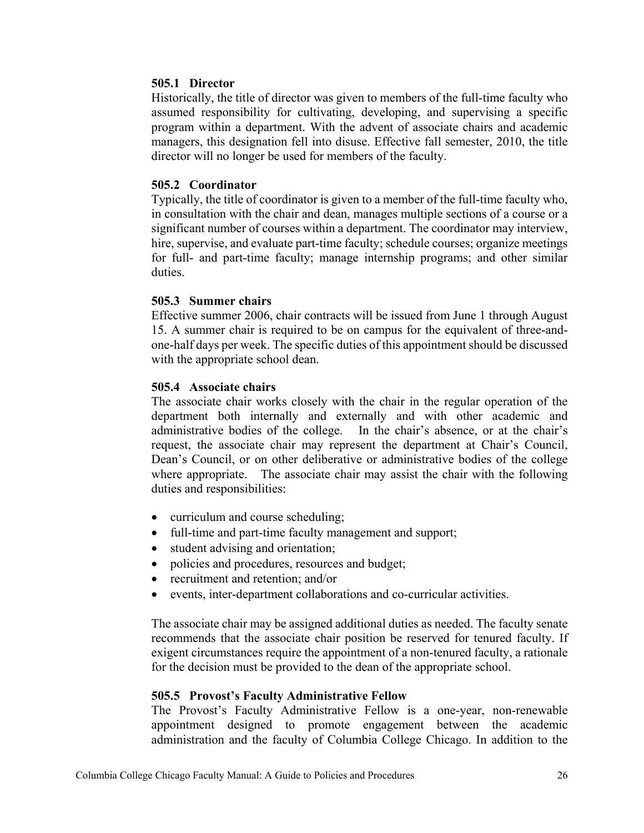### <span id="page-25-0"></span>**505.1 Director**

Historically, the title of director was given to members of the full-time faculty who assumed responsibility for cultivating, developing, and supervising a specific program within a department. With the advent of associate chairs and academic managers, this designation fell into disuse. Effective fall semester, 2010, the title director will no longer be used for members of the faculty.

#### <span id="page-25-1"></span>**505.2 Coordinator**

Typically, the title of coordinator is given to a member of the full-time faculty who, in consultation with the chair and dean, manages multiple sections of a course or a significant number of courses within a department. The coordinator may interview, hire, supervise, and evaluate part-time faculty; schedule courses; organize meetings for full- and part-time faculty; manage internship programs; and other similar duties.

#### <span id="page-25-2"></span>**505.3 Summer chairs**

Effective summer 2006, chair contracts will be issued from June 1 through August 15. A summer chair is required to be on campus for the equivalent of three-andone-half days per week. The specific duties of this appointment should be discussed with the appropriate school dean.

#### <span id="page-25-3"></span>**505.4 Associate chairs**

The associate chair works closely with the chair in the regular operation of the department both internally and externally and with other academic and administrative bodies of the college. In the chair's absence, or at the chair's request, the associate chair may represent the department at Chair's Council, Dean's Council, or on other deliberative or administrative bodies of the college where appropriate. The associate chair may assist the chair with the following duties and responsibilities:

- curriculum and course scheduling;
- full-time and part-time faculty management and support;
- student advising and orientation;
- policies and procedures, resources and budget;
- recruitment and retention; and/or
- events, inter-department collaborations and co-curricular activities.

The associate chair may be assigned additional duties as needed. The faculty senate recommends that the associate chair position be reserved for tenured faculty. If exigent circumstances require the appointment of a non-tenured faculty, a rationale for the decision must be provided to the dean of the appropriate school.

### <span id="page-25-4"></span>**505.5 Provost's Faculty Administrative Fellow**

The Provost's Faculty Administrative Fellow is a one-year, non-renewable appointment designed to promote engagement between the academic administration and the faculty of Columbia College Chicago. In addition to the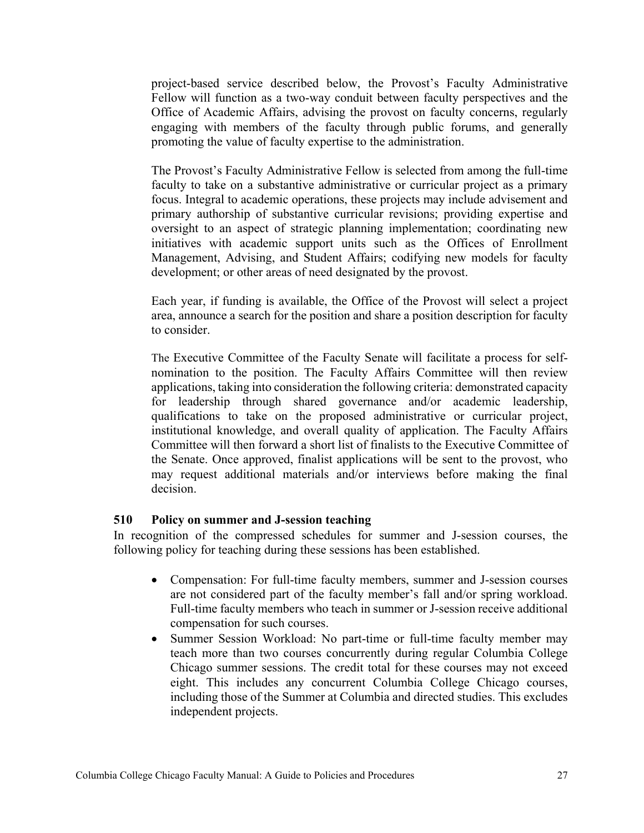project-based service described below, the Provost's Faculty Administrative Fellow will function as a two-way conduit between faculty perspectives and the Office of Academic Affairs, advising the provost on faculty concerns, regularly engaging with members of the faculty through public forums, and generally promoting the value of faculty expertise to the administration.

The Provost's Faculty Administrative Fellow is selected from among the full-time faculty to take on a substantive administrative or curricular project as a primary focus. Integral to academic operations, these projects may include advisement and primary authorship of substantive curricular revisions; providing expertise and oversight to an aspect of strategic planning implementation; coordinating new initiatives with academic support units such as the Offices of Enrollment Management, Advising, and Student Affairs; codifying new models for faculty development; or other areas of need designated by the provost.

Each year, if funding is available, the Office of the Provost will select a project area, announce a search for the position and share a position description for faculty to consider.

The Executive Committee of the Faculty Senate will facilitate a process for selfnomination to the position. The Faculty Affairs Committee will then review applications, taking into consideration the following criteria: demonstrated capacity for leadership through shared governance and/or academic leadership, qualifications to take on the proposed administrative or curricular project, institutional knowledge, and overall quality of application. The Faculty Affairs Committee will then forward a short list of finalists to the Executive Committee of the Senate. Once approved, finalist applications will be sent to the provost, who may request additional materials and/or interviews before making the final decision.

#### <span id="page-26-0"></span>**510 Policy on summer and J-session teaching**

In recognition of the compressed schedules for summer and J-session courses, the following policy for teaching during these sessions has been established.

- Compensation: For full-time faculty members, summer and J-session courses are not considered part of the faculty member's fall and/or spring workload. Full-time faculty members who teach in summer or J-session receive additional compensation for such courses.
- Summer Session Workload: No part-time or full-time faculty member may teach more than two courses concurrently during regular Columbia College Chicago summer sessions. The credit total for these courses may not exceed eight. This includes any concurrent Columbia College Chicago courses, including those of the Summer at Columbia and directed studies. This excludes independent projects.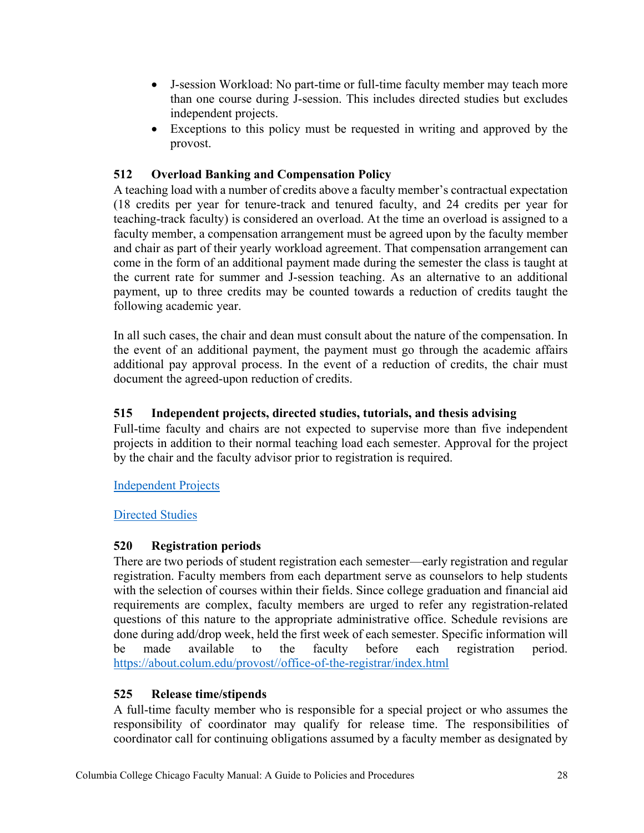- J-session Workload: No part-time or full-time faculty member may teach more than one course during J-session. This includes directed studies but excludes independent projects.
- Exceptions to this policy must be requested in writing and approved by the provost.

# <span id="page-27-0"></span>**512 Overload Banking and Compensation Policy**

A teaching load with a number of credits above a faculty member's contractual expectation (18 credits per year for tenure-track and tenured faculty, and 24 credits per year for teaching-track faculty) is considered an overload. At the time an overload is assigned to a faculty member, a compensation arrangement must be agreed upon by the faculty member and chair as part of their yearly workload agreement. That compensation arrangement can come in the form of an additional payment made during the semester the class is taught at the current rate for summer and J-session teaching. As an alternative to an additional payment, up to three credits may be counted towards a reduction of credits taught the following academic year.

In all such cases, the chair and dean must consult about the nature of the compensation. In the event of an additional payment, the payment must go through the academic affairs additional pay approval process. In the event of a reduction of credits, the chair must document the agreed-upon reduction of credits.

# <span id="page-27-1"></span>**515 Independent projects, directed studies, tutorials, and thesis advising**

Full-time faculty and chairs are not expected to supervise more than five independent projects in addition to their normal teaching load each semester. Approval for the project by the chair and the faculty advisor prior to registration is required.

## [Independent Projects](https://columbiacollege.sharepoint.com/sites/AcademicOperations/Shared%20Documents/Independent%20Project%20Cover%20Sheet_new.pdf)

[Directed Studies](https://columbiacollege.sharepoint.com/sites/AcademicOperations/Shared%20Documents/Directed%20Study%20Cover%20Sheet(1).pdf)

## <span id="page-27-2"></span>**520 Registration periods**

There are two periods of student registration each semester—early registration and regular registration. Faculty members from each department serve as counselors to help students with the selection of courses within their fields. Since college graduation and financial aid requirements are complex, faculty members are urged to refer any registration-related questions of this nature to the appropriate administrative office. Schedule revisions are done during add/drop week, held the first week of each semester. Specific information will be made available to the faculty before each registration period. [https://about.colum.edu/provost//office-of-the-registrar/index.html](https://about.colum.edu/provost/office-of-the-registrar/index.html)

## <span id="page-27-3"></span>**525 Release time/stipends**

A full-time faculty member who is responsible for a special project or who assumes the responsibility of coordinator may qualify for release time. The responsibilities of coordinator call for continuing obligations assumed by a faculty member as designated by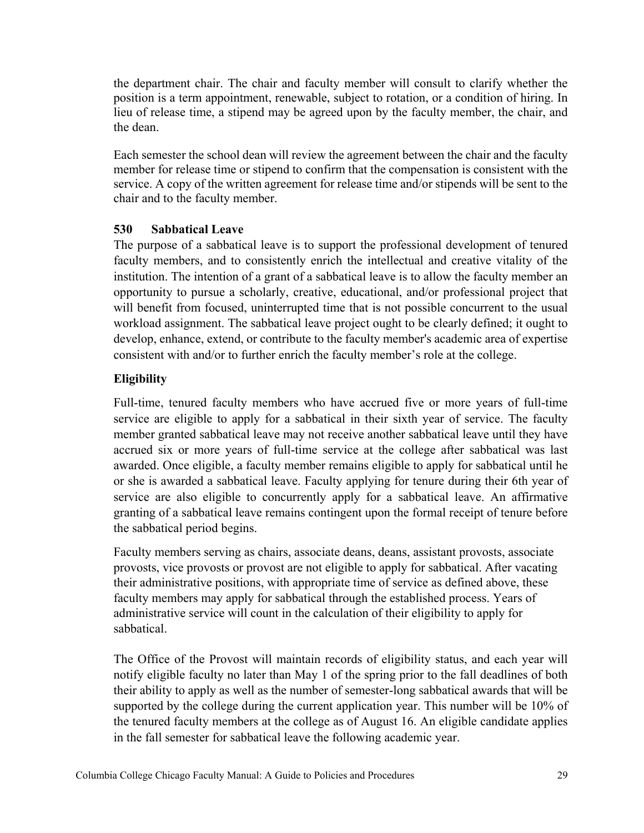the department chair. The chair and faculty member will consult to clarify whether the position is a term appointment, renewable, subject to rotation, or a condition of hiring. In lieu of release time, a stipend may be agreed upon by the faculty member, the chair, and the dean.

Each semester the school dean will review the agreement between the chair and the faculty member for release time or stipend to confirm that the compensation is consistent with the service. A copy of the written agreement for release time and/or stipends will be sent to the chair and to the faculty member.

## <span id="page-28-0"></span>**530 Sabbatical Leave**

The purpose of a sabbatical leave is to support the professional development of tenured faculty members, and to consistently enrich the intellectual and creative vitality of the institution. The intention of a grant of a sabbatical leave is to allow the faculty member an opportunity to pursue a scholarly, creative, educational, and/or professional project that will benefit from focused, uninterrupted time that is not possible concurrent to the usual workload assignment. The sabbatical leave project ought to be clearly defined; it ought to develop, enhance, extend, or contribute to the faculty member's academic area of expertise consistent with and/or to further enrich the faculty member's role at the college.

## **Eligibility**

Full-time, tenured faculty members who have accrued five or more years of full-time service are eligible to apply for a sabbatical in their sixth year of service. The faculty member granted sabbatical leave may not receive another sabbatical leave until they have accrued six or more years of full-time service at the college after sabbatical was last awarded. Once eligible, a faculty member remains eligible to apply for sabbatical until he or she is awarded a sabbatical leave. Faculty applying for tenure during their 6th year of service are also eligible to concurrently apply for a sabbatical leave. An affirmative granting of a sabbatical leave remains contingent upon the formal receipt of tenure before the sabbatical period begins.

Faculty members serving as chairs, associate deans, deans, assistant provosts, associate provosts, vice provosts or provost are not eligible to apply for sabbatical. After vacating their administrative positions, with appropriate time of service as defined above, these faculty members may apply for sabbatical through the established process. Years of administrative service will count in the calculation of their eligibility to apply for sabbatical.

The Office of the Provost will maintain records of eligibility status, and each year will notify eligible faculty no later than May 1 of the spring prior to the fall deadlines of both their ability to apply as well as the number of semester-long sabbatical awards that will be supported by the college during the current application year. This number will be 10% of the tenured faculty members at the college as of August 16. An eligible candidate applies in the fall semester for sabbatical leave the following academic year.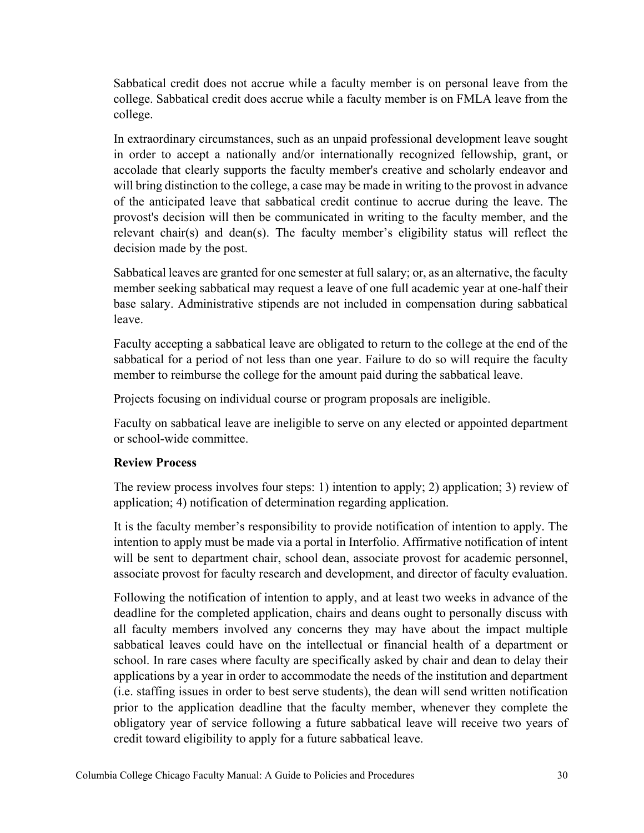Sabbatical credit does not accrue while a faculty member is on personal leave from the college. Sabbatical credit does accrue while a faculty member is on FMLA leave from the college.

In extraordinary circumstances, such as an unpaid professional development leave sought in order to accept a nationally and/or internationally recognized fellowship, grant, or accolade that clearly supports the faculty member's creative and scholarly endeavor and will bring distinction to the college, a case may be made in writing to the provost in advance of the anticipated leave that sabbatical credit continue to accrue during the leave. The provost's decision will then be communicated in writing to the faculty member, and the relevant chair(s) and dean(s). The faculty member's eligibility status will reflect the decision made by the post.

Sabbatical leaves are granted for one semester at full salary; or, as an alternative, the faculty member seeking sabbatical may request a leave of one full academic year at one-half their base salary. Administrative stipends are not included in compensation during sabbatical leave.

Faculty accepting a sabbatical leave are obligated to return to the college at the end of the sabbatical for a period of not less than one year. Failure to do so will require the faculty member to reimburse the college for the amount paid during the sabbatical leave.

Projects focusing on individual course or program proposals are ineligible.

Faculty on sabbatical leave are ineligible to serve on any elected or appointed department or school-wide committee.

## **Review Process**

The review process involves four steps: 1) intention to apply; 2) application; 3) review of application; 4) notification of determination regarding application.

It is the faculty member's responsibility to provide notification of intention to apply. The intention to apply must be made via a portal in Interfolio. Affirmative notification of intent will be sent to department chair, school dean, associate provost for academic personnel, associate provost for faculty research and development, and director of faculty evaluation.

Following the notification of intention to apply, and at least two weeks in advance of the deadline for the completed application, chairs and deans ought to personally discuss with all faculty members involved any concerns they may have about the impact multiple sabbatical leaves could have on the intellectual or financial health of a department or school. In rare cases where faculty are specifically asked by chair and dean to delay their applications by a year in order to accommodate the needs of the institution and department (i.e. staffing issues in order to best serve students), the dean will send written notification prior to the application deadline that the faculty member, whenever they complete the obligatory year of service following a future sabbatical leave will receive two years of credit toward eligibility to apply for a future sabbatical leave.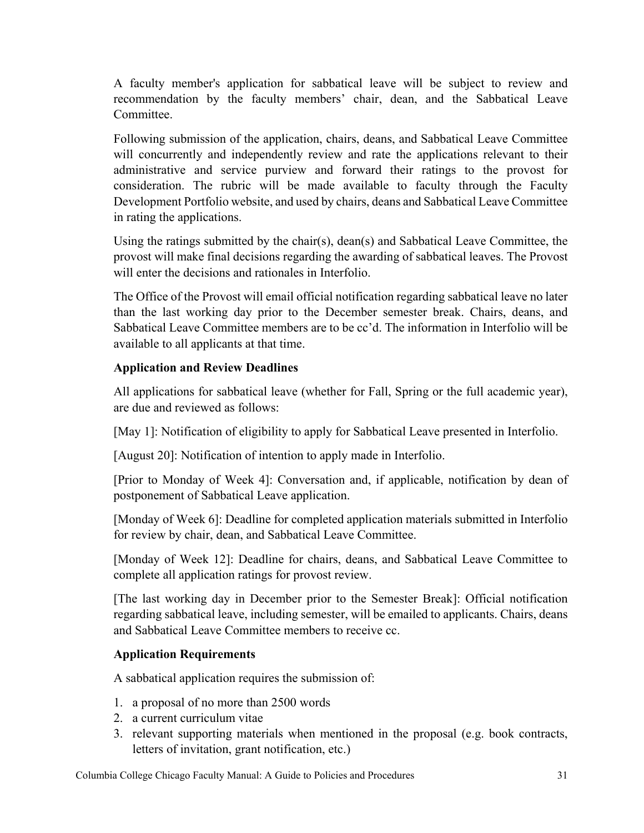A faculty member's application for sabbatical leave will be subject to review and recommendation by the faculty members' chair, dean, and the Sabbatical Leave Committee.

Following submission of the application, chairs, deans, and Sabbatical Leave Committee will concurrently and independently review and rate the applications relevant to their administrative and service purview and forward their ratings to the provost for consideration. The rubric will be made available to faculty through the Faculty Development Portfolio website, and used by chairs, deans and Sabbatical Leave Committee in rating the applications.

Using the ratings submitted by the chair(s), dean(s) and Sabbatical Leave Committee, the provost will make final decisions regarding the awarding of sabbatical leaves. The Provost will enter the decisions and rationales in Interfolio.

The Office of the Provost will email official notification regarding sabbatical leave no later than the last working day prior to the December semester break. Chairs, deans, and Sabbatical Leave Committee members are to be cc'd. The information in Interfolio will be available to all applicants at that time.

# **Application and Review Deadlines**

All applications for sabbatical leave (whether for Fall, Spring or the full academic year), are due and reviewed as follows:

[May 1]: Notification of eligibility to apply for Sabbatical Leave presented in Interfolio.

[August 20]: Notification of intention to apply made in Interfolio.

[Prior to Monday of Week 4]: Conversation and, if applicable, notification by dean of postponement of Sabbatical Leave application.

[Monday of Week 6]: Deadline for completed application materials submitted in Interfolio for review by chair, dean, and Sabbatical Leave Committee.

[Monday of Week 12]: Deadline for chairs, deans, and Sabbatical Leave Committee to complete all application ratings for provost review.

[The last working day in December prior to the Semester Break]: Official notification regarding sabbatical leave, including semester, will be emailed to applicants. Chairs, deans and Sabbatical Leave Committee members to receive cc.

# **Application Requirements**

A sabbatical application requires the submission of:

- 1. a proposal of no more than 2500 words
- 2. a current curriculum vitae
- 3. relevant supporting materials when mentioned in the proposal (e.g. book contracts, letters of invitation, grant notification, etc.)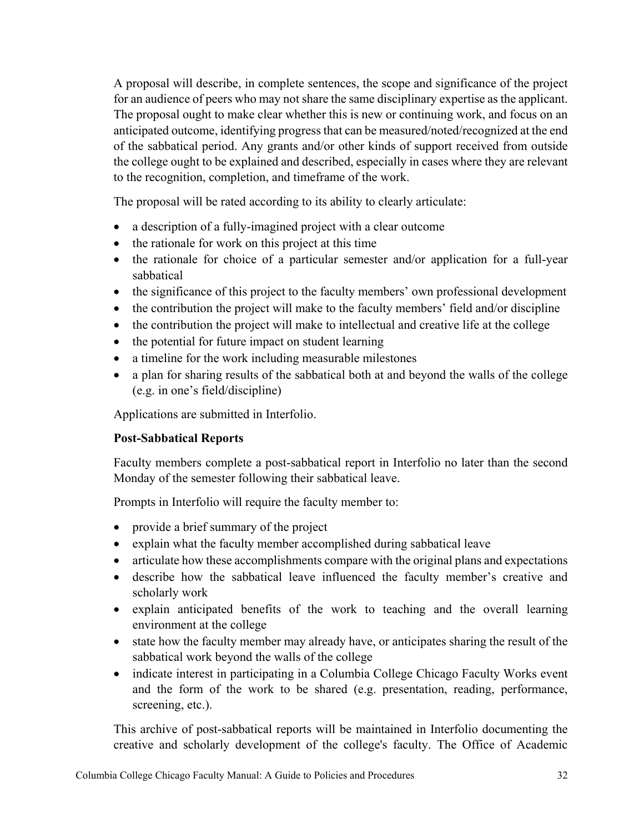A proposal will describe, in complete sentences, the scope and significance of the project for an audience of peers who may not share the same disciplinary expertise as the applicant. The proposal ought to make clear whether this is new or continuing work, and focus on an anticipated outcome, identifying progress that can be measured/noted/recognized at the end of the sabbatical period. Any grants and/or other kinds of support received from outside the college ought to be explained and described, especially in cases where they are relevant to the recognition, completion, and timeframe of the work.

The proposal will be rated according to its ability to clearly articulate:

- a description of a fully-imagined project with a clear outcome
- the rationale for work on this project at this time
- the rationale for choice of a particular semester and/or application for a full-year sabbatical
- the significance of this project to the faculty members' own professional development
- the contribution the project will make to the faculty members' field and/or discipline
- the contribution the project will make to intellectual and creative life at the college
- the potential for future impact on student learning
- a timeline for the work including measurable milestones
- a plan for sharing results of the sabbatical both at and beyond the walls of the college (e.g. in one's field/discipline)

Applications are submitted in Interfolio.

## **Post-Sabbatical Reports**

Faculty members complete a post-sabbatical report in Interfolio no later than the second Monday of the semester following their sabbatical leave.

Prompts in Interfolio will require the faculty member to:

- provide a brief summary of the project
- explain what the faculty member accomplished during sabbatical leave
- articulate how these accomplishments compare with the original plans and expectations
- describe how the sabbatical leave influenced the faculty member's creative and scholarly work
- explain anticipated benefits of the work to teaching and the overall learning environment at the college
- state how the faculty member may already have, or anticipates sharing the result of the sabbatical work beyond the walls of the college
- indicate interest in participating in a Columbia College Chicago Faculty Works event and the form of the work to be shared (e.g. presentation, reading, performance, screening, etc.).

This archive of post-sabbatical reports will be maintained in Interfolio documenting the creative and scholarly development of the college's faculty. The Office of Academic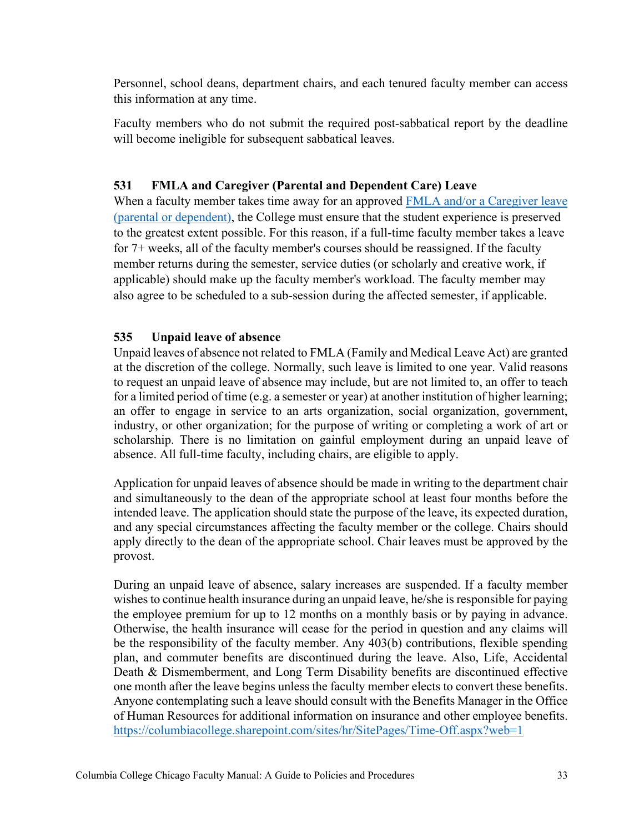Personnel, school deans, department chairs, and each tenured faculty member can access this information at any time.

Faculty members who do not submit the required post-sabbatical report by the deadline will become ineligible for subsequent sabbatical leaves.

## <span id="page-32-0"></span>**531 FMLA and Caregiver (Parental and Dependent Care) Leave**

When a faculty member takes time away for an approved FMLA and/or a Caregiver leave [\(parental or dependent\),](https://columbiacollege.sharepoint.com/sites/hr/SitePages/Time-Off.aspx?web=1) the College must ensure that the student experience is preserved to the greatest extent possible. For this reason, if a full-time faculty member takes a leave for 7+ weeks, all of the faculty member's courses should be reassigned. If the faculty member returns during the semester, service duties (or scholarly and creative work, if applicable) should make up the faculty member's workload. The faculty member may also agree to be scheduled to a sub-session during the affected semester, if applicable.

### <span id="page-32-1"></span>**535 Unpaid leave of absence**

Unpaid leaves of absence not related to FMLA (Family and Medical Leave Act) are granted at the discretion of the college. Normally, such leave is limited to one year. Valid reasons to request an unpaid leave of absence may include, but are not limited to, an offer to teach for a limited period of time (e.g. a semester or year) at another institution of higher learning; an offer to engage in service to an arts organization, social organization, government, industry, or other organization; for the purpose of writing or completing a work of art or scholarship. There is no limitation on gainful employment during an unpaid leave of absence. All full-time faculty, including chairs, are eligible to apply.

Application for unpaid leaves of absence should be made in writing to the department chair and simultaneously to the dean of the appropriate school at least four months before the intended leave. The application should state the purpose of the leave, its expected duration, and any special circumstances affecting the faculty member or the college. Chairs should apply directly to the dean of the appropriate school. Chair leaves must be approved by the provost.

During an unpaid leave of absence, salary increases are suspended. If a faculty member wishes to continue health insurance during an unpaid leave, he/she is responsible for paying the employee premium for up to 12 months on a monthly basis or by paying in advance. Otherwise, the health insurance will cease for the period in question and any claims will be the responsibility of the faculty member. Any 403(b) contributions, flexible spending plan, and commuter benefits are discontinued during the leave. Also, Life, Accidental Death & Dismemberment, and Long Term Disability benefits are discontinued effective one month after the leave begins unless the faculty member elects to convert these benefits. Anyone contemplating such a leave should consult with the Benefits Manager in the Office of Human Resources for additional information on insurance and other employee benefits. <https://columbiacollege.sharepoint.com/sites/hr/SitePages/Time-Off.aspx?web=1>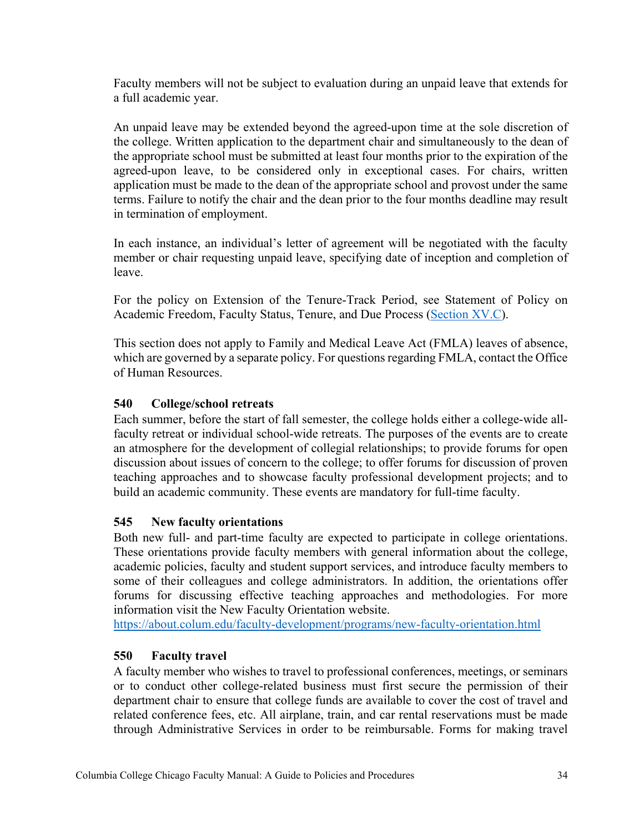Faculty members will not be subject to evaluation during an unpaid leave that extends for a full academic year.

An unpaid leave may be extended beyond the agreed-upon time at the sole discretion of the college. Written application to the department chair and simultaneously to the dean of the appropriate school must be submitted at least four months prior to the expiration of the agreed-upon leave, to be considered only in exceptional cases. For chairs, written application must be made to the dean of the appropriate school and provost under the same terms. Failure to notify the chair and the dean prior to the four months deadline may result in termination of employment.

In each instance, an individual's letter of agreement will be negotiated with the faculty member or chair requesting unpaid leave, specifying date of inception and completion of leave.

For the policy on Extension of the Tenure-Track Period, see Statement of Policy on Academic Freedom, Faculty Status, Tenure, and Due Process [\(Section](https://about.colum.edu/provost/academic-personnel/statement-of-policy/evaluation-of-faculty-with-tenure-track-appointments.html) XV.C).

This section does not apply to Family and Medical Leave Act (FMLA) leaves of absence, which are governed by a separate policy. For questions regarding FMLA, contact the Office of Human Resources.

## <span id="page-33-0"></span>**540 College/school retreats**

Each summer, before the start of fall semester, the college holds either a college-wide allfaculty retreat or individual school-wide retreats. The purposes of the events are to create an atmosphere for the development of collegial relationships; to provide forums for open discussion about issues of concern to the college; to offer forums for discussion of proven teaching approaches and to showcase faculty professional development projects; and to build an academic community. These events are mandatory for full-time faculty.

### <span id="page-33-1"></span>**545 New faculty orientations**

Both new full- and part-time faculty are expected to participate in college orientations. These orientations provide faculty members with general information about the college, academic policies, faculty and student support services, and introduce faculty members to some of their colleagues and college administrators. In addition, the orientations offer forums for discussing effective teaching approaches and methodologies. For more information visit the New Faculty Orientation website.

<https://about.colum.edu/faculty-development/programs/new-faculty-orientation.html>

### <span id="page-33-2"></span>**550 Faculty travel**

A faculty member who wishes to travel to professional conferences, meetings, or seminars or to conduct other college-related business must first secure the permission of their department chair to ensure that college funds are available to cover the cost of travel and related conference fees, etc. All airplane, train, and car rental reservations must be made through Administrative Services in order to be reimbursable. Forms for making travel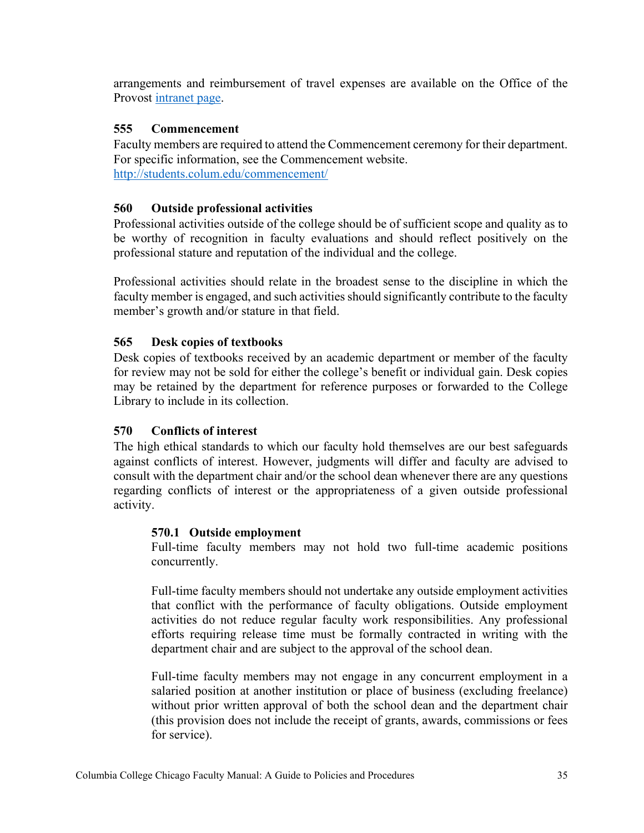arrangements and reimbursement of travel expenses are available on the Office of the Provost [intranet page.](https://columbiacollege.sharepoint.com/sites/prov/SitePages/Academic-Affairs-Travel-Requests.aspx)

## <span id="page-34-0"></span>**555 Commencement**

Faculty members are required to attend the Commencement ceremony for their department. For specific information, see the Commencement website. <http://students.colum.edu/commencement/>

## <span id="page-34-1"></span>**560 Outside professional activities**

Professional activities outside of the college should be of sufficient scope and quality as to be worthy of recognition in faculty evaluations and should reflect positively on the professional stature and reputation of the individual and the college.

Professional activities should relate in the broadest sense to the discipline in which the faculty member is engaged, and such activities should significantly contribute to the faculty member's growth and/or stature in that field.

## <span id="page-34-2"></span>**565 Desk copies of textbooks**

Desk copies of textbooks received by an academic department or member of the faculty for review may not be sold for either the college's benefit or individual gain. Desk copies may be retained by the department for reference purposes or forwarded to the College Library to include in its collection.

## <span id="page-34-3"></span>**570 Conflicts of interest**

The high ethical standards to which our faculty hold themselves are our best safeguards against conflicts of interest. However, judgments will differ and faculty are advised to consult with the department chair and/or the school dean whenever there are any questions regarding conflicts of interest or the appropriateness of a given outside professional activity.

### <span id="page-34-4"></span>**570.1 Outside employment**

Full-time faculty members may not hold two full-time academic positions concurrently.

Full-time faculty members should not undertake any outside employment activities that conflict with the performance of faculty obligations. Outside employment activities do not reduce regular faculty work responsibilities. Any professional efforts requiring release time must be formally contracted in writing with the department chair and are subject to the approval of the school dean.

Full-time faculty members may not engage in any concurrent employment in a salaried position at another institution or place of business (excluding freelance) without prior written approval of both the school dean and the department chair (this provision does not include the receipt of grants, awards, commissions or fees for service).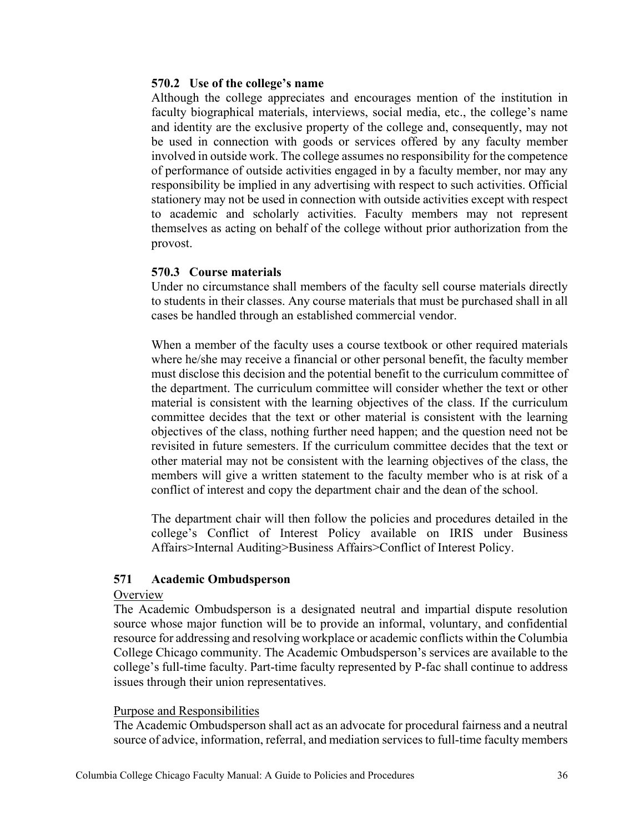### <span id="page-35-0"></span>**570.2 Use of the college's name**

Although the college appreciates and encourages mention of the institution in faculty biographical materials, interviews, social media, etc., the college's name and identity are the exclusive property of the college and, consequently, may not be used in connection with goods or services offered by any faculty member involved in outside work. The college assumes no responsibility for the competence of performance of outside activities engaged in by a faculty member, nor may any responsibility be implied in any advertising with respect to such activities. Official stationery may not be used in connection with outside activities except with respect to academic and scholarly activities. Faculty members may not represent themselves as acting on behalf of the college without prior authorization from the provost.

### <span id="page-35-1"></span>**570.3 Course materials**

Under no circumstance shall members of the faculty sell course materials directly to students in their classes. Any course materials that must be purchased shall in all cases be handled through an established commercial vendor.

When a member of the faculty uses a course textbook or other required materials where he/she may receive a financial or other personal benefit, the faculty member must disclose this decision and the potential benefit to the curriculum committee of the department. The curriculum committee will consider whether the text or other material is consistent with the learning objectives of the class. If the curriculum committee decides that the text or other material is consistent with the learning objectives of the class, nothing further need happen; and the question need not be revisited in future semesters. If the curriculum committee decides that the text or other material may not be consistent with the learning objectives of the class, the members will give a written statement to the faculty member who is at risk of a conflict of interest and copy the department chair and the dean of the school.

The department chair will then follow the policies and procedures detailed in the college's Conflict of Interest Policy available on IRIS under Business Affairs>Internal Auditing>Business Affairs>Conflict of Interest Policy.

### <span id="page-35-2"></span>**571 Academic Ombudsperson**

#### **Overview**

The Academic Ombudsperson is a designated neutral and impartial dispute resolution source whose major function will be to provide an informal, voluntary, and confidential resource for addressing and resolving workplace or academic conflicts within the Columbia College Chicago community. The Academic Ombudsperson's services are available to the college's full-time faculty. Part-time faculty represented by P-fac shall continue to address issues through their union representatives.

#### Purpose and Responsibilities

The Academic Ombudsperson shall act as an advocate for procedural fairness and a neutral source of advice, information, referral, and mediation services to full-time faculty members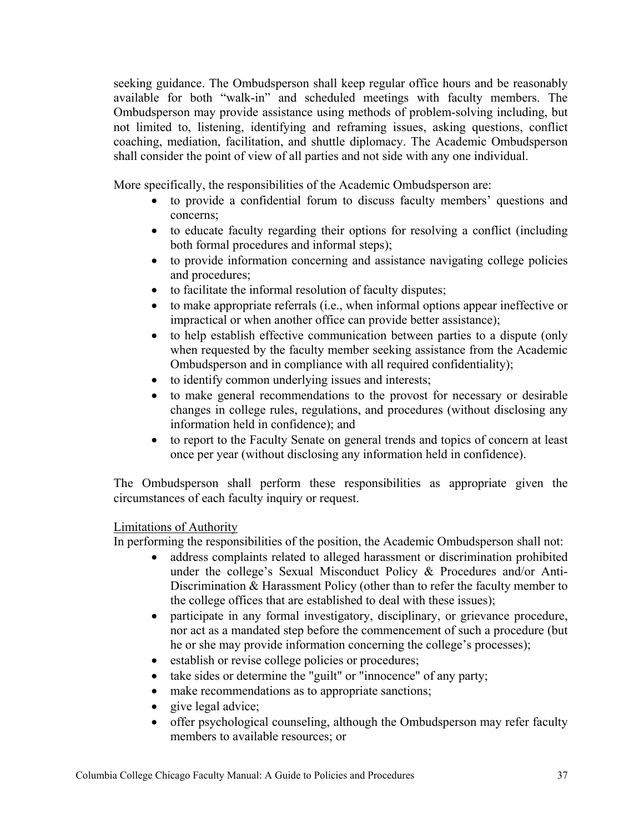seeking guidance. The Ombudsperson shall keep regular office hours and be reasonably available for both "walk-in" and scheduled meetings with faculty members. The Ombudsperson may provide assistance using methods of problem-solving including, but not limited to, listening, identifying and reframing issues, asking questions, conflict coaching, mediation, facilitation, and shuttle diplomacy. The Academic Ombudsperson shall consider the point of view of all parties and not side with any one individual.

More specifically, the responsibilities of the Academic Ombudsperson are:

- to provide a confidential forum to discuss faculty members' questions and concerns;
- to educate faculty regarding their options for resolving a conflict (including both formal procedures and informal steps);
- to provide information concerning and assistance navigating college policies and procedures;
- to facilitate the informal resolution of faculty disputes;
- to make appropriate referrals (i.e., when informal options appear ineffective or impractical or when another office can provide better assistance);
- to help establish effective communication between parties to a dispute (only when requested by the faculty member seeking assistance from the Academic Ombudsperson and in compliance with all required confidentiality);
- to identify common underlying issues and interests;
- to make general recommendations to the provost for necessary or desirable changes in college rules, regulations, and procedures (without disclosing any information held in confidence); and
- to report to the Faculty Senate on general trends and topics of concern at least once per year (without disclosing any information held in confidence).

The Ombudsperson shall perform these responsibilities as appropriate given the circumstances of each faculty inquiry or request.

### Limitations of Authority

In performing the responsibilities of the position, the Academic Ombudsperson shall not:

- address complaints related to alleged harassment or discrimination prohibited under the college's Sexual Misconduct Policy & Procedures and/or Anti-Discrimination & Harassment Policy (other than to refer the faculty member to the college offices that are established to deal with these issues);
- participate in any formal investigatory, disciplinary, or grievance procedure, nor act as a mandated step before the commencement of such a procedure (but he or she may provide information concerning the college's processes);
- establish or revise college policies or procedures;
- take sides or determine the "guilt" or "innocence" of any party;
- make recommendations as to appropriate sanctions;
- give legal advice;
- offer psychological counseling, although the Ombudsperson may refer faculty members to available resources; or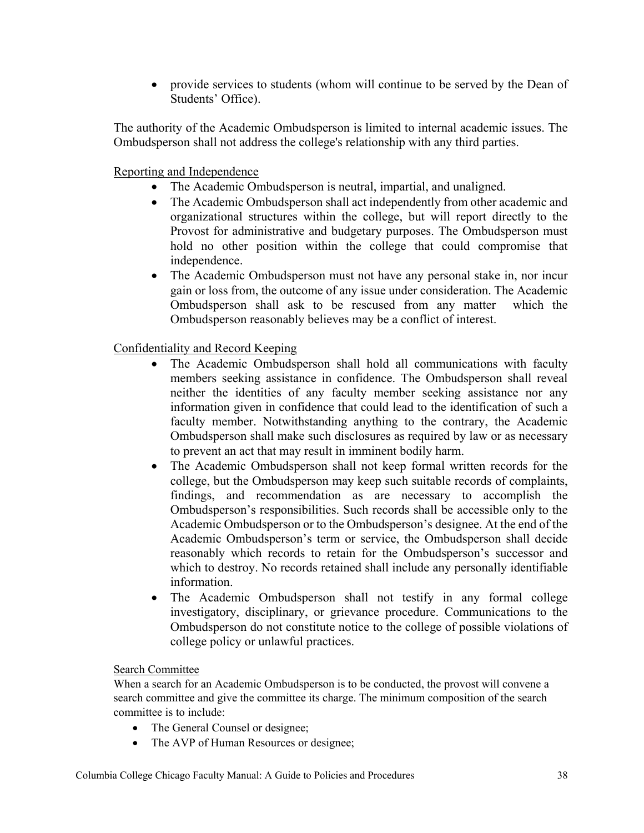• provide services to students (whom will continue to be served by the Dean of Students' Office).

The authority of the Academic Ombudsperson is limited to internal academic issues. The Ombudsperson shall not address the college's relationship with any third parties.

Reporting and Independence

- The Academic Ombudsperson is neutral, impartial, and unaligned.
- The Academic Ombudsperson shall act independently from other academic and organizational structures within the college, but will report directly to the Provost for administrative and budgetary purposes. The Ombudsperson must hold no other position within the college that could compromise that independence.
- The Academic Ombudsperson must not have any personal stake in, nor incur gain or loss from, the outcome of any issue under consideration. The Academic Ombudsperson shall ask to be rescused from any matter which the Ombudsperson reasonably believes may be a conflict of interest.

Confidentiality and Record Keeping

- The Academic Ombudsperson shall hold all communications with faculty members seeking assistance in confidence. The Ombudsperson shall reveal neither the identities of any faculty member seeking assistance nor any information given in confidence that could lead to the identification of such a faculty member. Notwithstanding anything to the contrary, the Academic Ombudsperson shall make such disclosures as required by law or as necessary to prevent an act that may result in imminent bodily harm.
- The Academic Ombudsperson shall not keep formal written records for the college, but the Ombudsperson may keep such suitable records of complaints, findings, and recommendation as are necessary to accomplish the Ombudsperson's responsibilities. Such records shall be accessible only to the Academic Ombudsperson or to the Ombudsperson's designee. At the end of the Academic Ombudsperson's term or service, the Ombudsperson shall decide reasonably which records to retain for the Ombudsperson's successor and which to destroy. No records retained shall include any personally identifiable information.
- The Academic Ombudsperson shall not testify in any formal college investigatory, disciplinary, or grievance procedure. Communications to the Ombudsperson do not constitute notice to the college of possible violations of college policy or unlawful practices.

## Search Committee

When a search for an Academic Ombudsperson is to be conducted, the provost will convene a search committee and give the committee its charge. The minimum composition of the search committee is to include:

- The General Counsel or designee;
- The AVP of Human Resources or designee;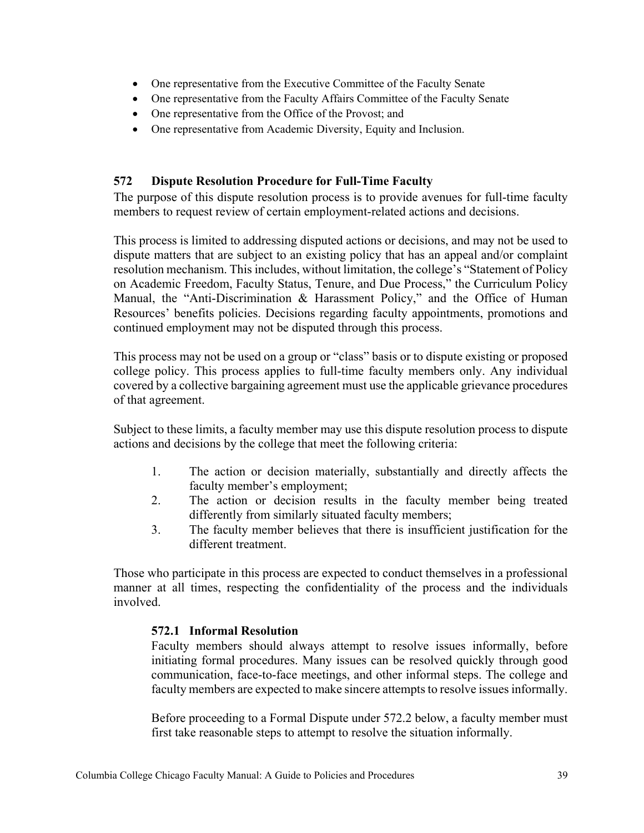- One representative from the Executive Committee of the Faculty Senate
- One representative from the Faculty Affairs Committee of the Faculty Senate
- One representative from the Office of the Provost; and
- One representative from Academic Diversity, Equity and Inclusion.

# <span id="page-38-0"></span>**572 Dispute Resolution Procedure for Full-Time Faculty**

The purpose of this dispute resolution process is to provide avenues for full-time faculty members to request review of certain employment-related actions and decisions.

This process is limited to addressing disputed actions or decisions, and may not be used to dispute matters that are subject to an existing policy that has an appeal and/or complaint resolution mechanism. This includes, without limitation, the college's "Statement of Policy on Academic Freedom, Faculty Status, Tenure, and Due Process," the Curriculum Policy Manual, the "Anti-Discrimination & Harassment Policy," and the Office of Human Resources' benefits policies. Decisions regarding faculty appointments, promotions and continued employment may not be disputed through this process.

This process may not be used on a group or "class" basis or to dispute existing or proposed college policy. This process applies to full-time faculty members only. Any individual covered by a collective bargaining agreement must use the applicable grievance procedures of that agreement.

Subject to these limits, a faculty member may use this dispute resolution process to dispute actions and decisions by the college that meet the following criteria:

- 1. The action or decision materially, substantially and directly affects the faculty member's employment;
- 2. The action or decision results in the faculty member being treated differently from similarly situated faculty members;
- 3. The faculty member believes that there is insufficient justification for the different treatment.

<span id="page-38-1"></span>Those who participate in this process are expected to conduct themselves in a professional manner at all times, respecting the confidentiality of the process and the individuals involved.

## **572.1 Informal Resolution**

Faculty members should always attempt to resolve issues informally, before initiating formal procedures. Many issues can be resolved quickly through good communication, face-to-face meetings, and other informal steps. The college and faculty members are expected to make sincere attempts to resolve issues informally.

Before proceeding to a Formal Dispute under 572.2 below, a faculty member must first take reasonable steps to attempt to resolve the situation informally.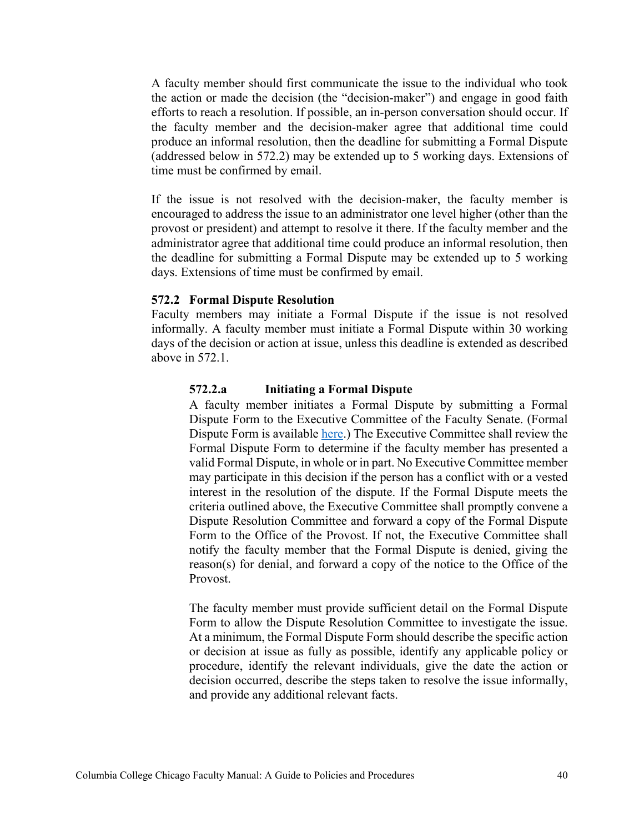A faculty member should first communicate the issue to the individual who took the action or made the decision (the "decision-maker") and engage in good faith efforts to reach a resolution. If possible, an in-person conversation should occur. If the faculty member and the decision-maker agree that additional time could produce an informal resolution, then the deadline for submitting a Formal Dispute (addressed below in 572.2) may be extended up to 5 working days. Extensions of time must be confirmed by email.

If the issue is not resolved with the decision-maker, the faculty member is encouraged to address the issue to an administrator one level higher (other than the provost or president) and attempt to resolve it there. If the faculty member and the administrator agree that additional time could produce an informal resolution, then the deadline for submitting a Formal Dispute may be extended up to 5 working days. Extensions of time must be confirmed by email.

#### <span id="page-39-0"></span>**572.2 Formal Dispute Resolution**

<span id="page-39-1"></span>Faculty members may initiate a Formal Dispute if the issue is not resolved informally. A faculty member must initiate a Formal Dispute within 30 working days of the decision or action at issue, unless this deadline is extended as described above in 572.1.

### **572.2.a Initiating a Formal Dispute**

A faculty member initiates a Formal Dispute by submitting a Formal Dispute Form to the Executive Committee of the Faculty Senate. (Formal Dispute Form is available [here.](https://columbiacollege.sharepoint.com/sites/AcademicPersonnel72/Shared%20Documents/Forms/AllItems.aspx?id=%2Fsites%2FAcademicPersonnel72%2FShared%20Documents%2FDispute%20Resolution%20Form%2Epdf&parent=%2Fsites%2FAcademicPersonnel72%2FShared%20Documents&p=true&cid=697c3af7-e75b-41ab-9ef8-f25060204a29)) The Executive Committee shall review the Formal Dispute Form to determine if the faculty member has presented a valid Formal Dispute, in whole or in part. No Executive Committee member may participate in this decision if the person has a conflict with or a vested interest in the resolution of the dispute. If the Formal Dispute meets the criteria outlined above, the Executive Committee shall promptly convene a Dispute Resolution Committee and forward a copy of the Formal Dispute Form to the Office of the Provost. If not, the Executive Committee shall notify the faculty member that the Formal Dispute is denied, giving the reason(s) for denial, and forward a copy of the notice to the Office of the Provost.

The faculty member must provide sufficient detail on the Formal Dispute Form to allow the Dispute Resolution Committee to investigate the issue. At a minimum, the Formal Dispute Form should describe the specific action or decision at issue as fully as possible, identify any applicable policy or procedure, identify the relevant individuals, give the date the action or decision occurred, describe the steps taken to resolve the issue informally, and provide any additional relevant facts.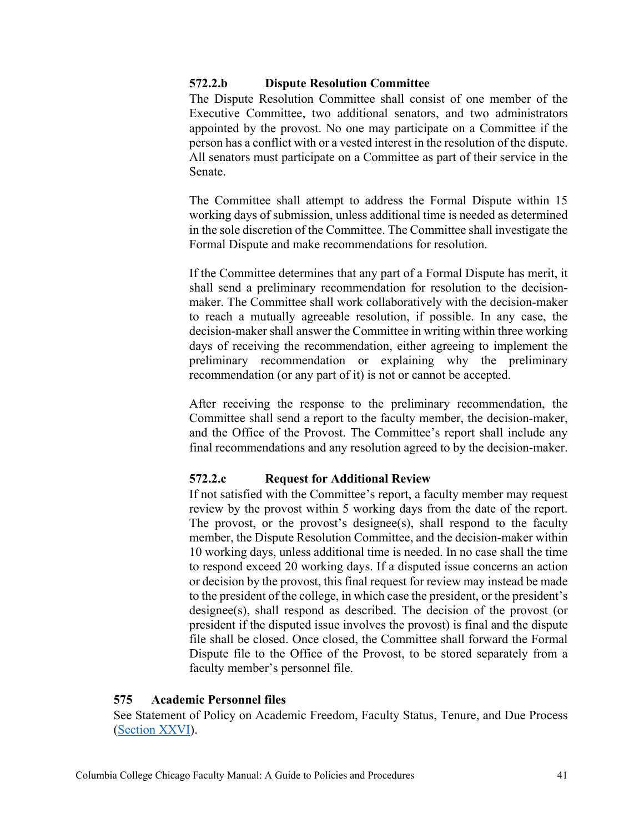## <span id="page-40-0"></span>**572.2.b Dispute Resolution Committee**

The Dispute Resolution Committee shall consist of one member of the Executive Committee, two additional senators, and two administrators appointed by the provost. No one may participate on a Committee if the person has a conflict with or a vested interest in the resolution of the dispute. All senators must participate on a Committee as part of their service in the Senate.

The Committee shall attempt to address the Formal Dispute within 15 working days of submission, unless additional time is needed as determined in the sole discretion of the Committee. The Committee shall investigate the Formal Dispute and make recommendations for resolution.

If the Committee determines that any part of a Formal Dispute has merit, it shall send a preliminary recommendation for resolution to the decisionmaker. The Committee shall work collaboratively with the decision-maker to reach a mutually agreeable resolution, if possible. In any case, the decision-maker shall answer the Committee in writing within three working days of receiving the recommendation, either agreeing to implement the preliminary recommendation or explaining why the preliminary recommendation (or any part of it) is not or cannot be accepted.

After receiving the response to the preliminary recommendation, the Committee shall send a report to the faculty member, the decision-maker, and the Office of the Provost. The Committee's report shall include any final recommendations and any resolution agreed to by the decision-maker.

### <span id="page-40-1"></span>**572.2.c Request for Additional Review**

If not satisfied with the Committee's report, a faculty member may request review by the provost within 5 working days from the date of the report. The provost, or the provost's designee(s), shall respond to the faculty member, the Dispute Resolution Committee, and the decision-maker within 10 working days, unless additional time is needed. In no case shall the time to respond exceed 20 working days. If a disputed issue concerns an action or decision by the provost, this final request for review may instead be made to the president of the college, in which case the president, or the president's designee(s), shall respond as described. The decision of the provost (or president if the disputed issue involves the provost) is final and the dispute file shall be closed. Once closed, the Committee shall forward the Formal Dispute file to the Office of the Provost, to be stored separately from a faculty member's personnel file.

### <span id="page-40-2"></span>**575 Academic Personnel files**

See Statement of Policy on Academic Freedom, Faculty Status, Tenure, and Due Process [\(Section](https://about.colum.edu/provost/academic-personnel/statement-of-policy/academic-personnel-file) XXVI).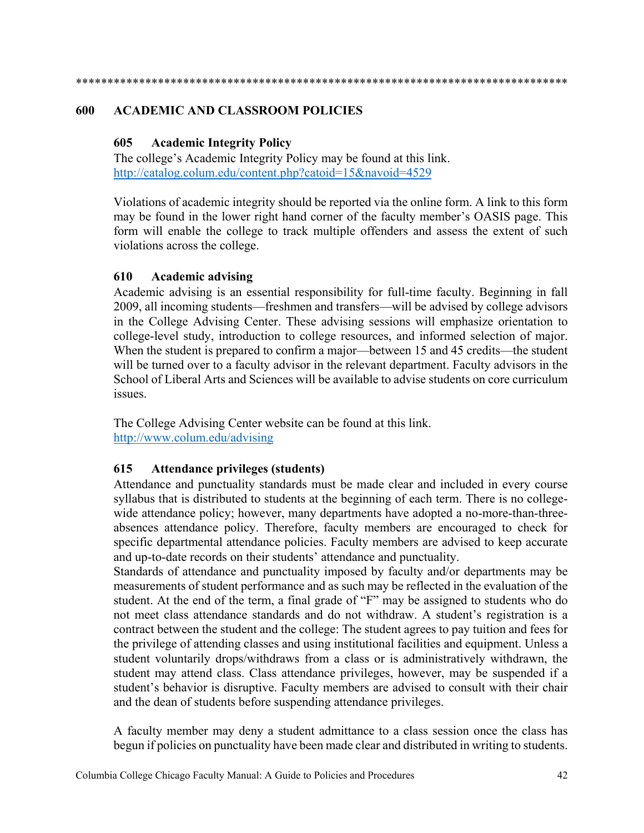\*\*\*\*\*\*\*\*\*\*\*\*\*\*\*\*\*\*\*\*\*\*\*\*\*\*\*\*\*\*\*\*\*\*\*\*\*\*\*\*\*\*\*\*\*\*\*\*\*\*\*\*\*\*\*\*\*\*\*\*\*\*\*\*\*\*\*\*\*\*\*\*\*\*\*\*\*\*

### <span id="page-41-1"></span><span id="page-41-0"></span>**600 ACADEMIC AND CLASSROOM POLICIES**

## **605 Academic Integrity Policy**

The college's Academic Integrity Policy may be found at this link. <http://catalog.colum.edu/content.php?catoid=15&navoid=4529>

Violations of academic integrity should be reported via the online form. A link to this form may be found in the lower right hand corner of the faculty member's OASIS page. This form will enable the college to track multiple offenders and assess the extent of such violations across the college.

## <span id="page-41-2"></span>**610 Academic advising**

Academic advising is an essential responsibility for full-time faculty. Beginning in fall 2009, all incoming students—freshmen and transfers—will be advised by college advisors in the College Advising Center. These advising sessions will emphasize orientation to college-level study, introduction to college resources, and informed selection of major. When the student is prepared to confirm a major—between 15 and 45 credits—the student will be turned over to a faculty advisor in the relevant department. Faculty advisors in the School of Liberal Arts and Sciences will be available to advise students on core curriculum issues.

The College Advising Center website can be found at this link. <http://www.colum.edu/advising>

## <span id="page-41-3"></span>**615 Attendance privileges (students)**

Attendance and punctuality standards must be made clear and included in every course syllabus that is distributed to students at the beginning of each term. There is no collegewide attendance policy; however, many departments have adopted a no-more-than-threeabsences attendance policy. Therefore, faculty members are encouraged to check for specific departmental attendance policies. Faculty members are advised to keep accurate and up-to-date records on their students' attendance and punctuality.

Standards of attendance and punctuality imposed by faculty and/or departments may be measurements of student performance and as such may be reflected in the evaluation of the student. At the end of the term, a final grade of "F" may be assigned to students who do not meet class attendance standards and do not withdraw. A student's registration is a contract between the student and the college: The student agrees to pay tuition and fees for the privilege of attending classes and using institutional facilities and equipment. Unless a student voluntarily drops/withdraws from a class or is administratively withdrawn, the student may attend class. Class attendance privileges, however, may be suspended if a student's behavior is disruptive. Faculty members are advised to consult with their chair and the dean of students before suspending attendance privileges.

A faculty member may deny a student admittance to a class session once the class has begun if policies on punctuality have been made clear and distributed in writing to students.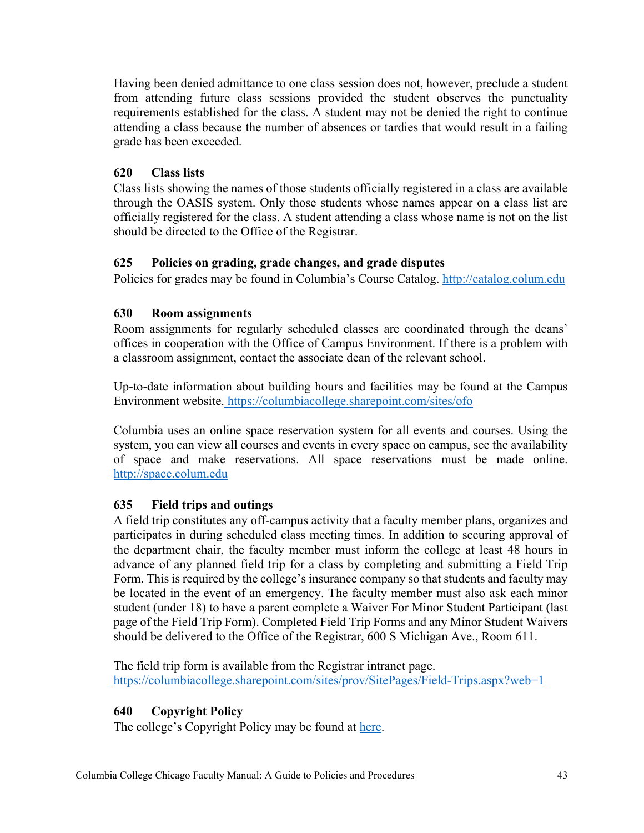Having been denied admittance to one class session does not, however, preclude a student from attending future class sessions provided the student observes the punctuality requirements established for the class. A student may not be denied the right to continue attending a class because the number of absences or tardies that would result in a failing grade has been exceeded.

# <span id="page-42-0"></span>**620 Class lists**

Class lists showing the names of those students officially registered in a class are available through the OASIS system. Only those students whose names appear on a class list are officially registered for the class. A student attending a class whose name is not on the list should be directed to the Office of the Registrar.

## <span id="page-42-1"></span>**625 Policies on grading, grade changes, and grade disputes**

Policies for grades may be found in Columbia's Course Catalog. [http://catalog.colum.edu](http://catalog.colum.edu/)

# <span id="page-42-2"></span>**630 Room assignments**

Room assignments for regularly scheduled classes are coordinated through the deans' offices in cooperation with the Office of Campus Environment. If there is a problem with a classroom assignment, contact the associate dean of the relevant school.

Up-to-date information about building hours and facilities may be found at the Campus Environment website. <https://columbiacollege.sharepoint.com/sites/ofo>

Columbia uses an online space reservation system for all events and courses. Using the system, you can view all courses and events in every space on campus, see the availability of space and make reservations. All space reservations must be made online. [http://space.colum.edu](http://space.colum.edu/)

# <span id="page-42-3"></span>**635 Field trips and outings**

A field trip constitutes any off-campus activity that a faculty member plans, organizes and participates in during scheduled class meeting times. In addition to securing approval of the department chair, the faculty member must inform the college at least 48 hours in advance of any planned field trip for a class by completing and submitting a Field Trip Form. This is required by the college's insurance company so that students and faculty may be located in the event of an emergency. The faculty member must also ask each minor student (under 18) to have a parent complete a Waiver For Minor Student Participant (last page of the Field Trip Form). Completed Field Trip Forms and any Minor Student Waivers should be delivered to the Office of the Registrar, 600 S Michigan Ave., Room 611.

The field trip form is available from the Registrar intranet page. <https://columbiacollege.sharepoint.com/sites/prov/SitePages/Field-Trips.aspx?web=1>

# <span id="page-42-4"></span>**640 Copyright Policy**

The college's Copyright Policy may be found at [here.](https://columbiacollege.sharepoint.com/sites/prov/Shared%20Documents/Copyright%20Policy.pdf)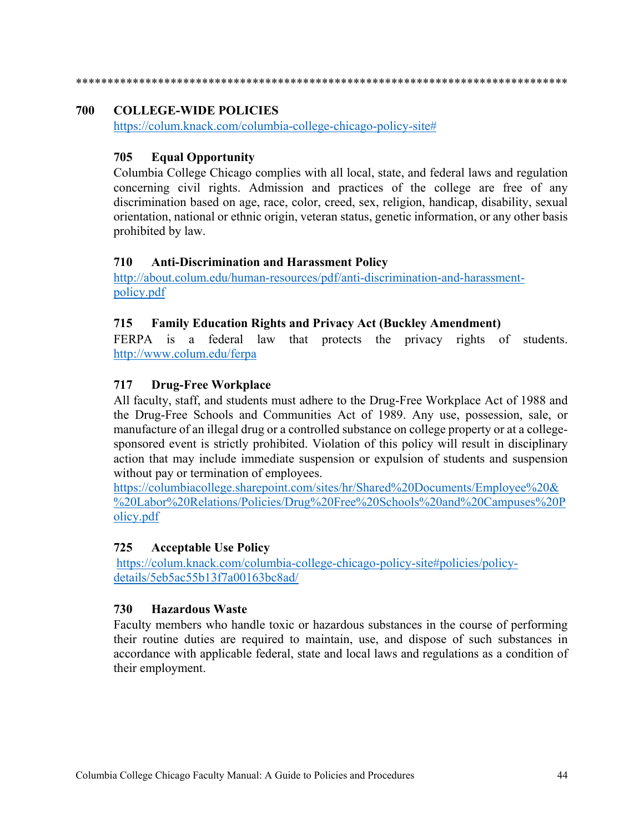\*\*\*\*\*\*\*\*\*\*\*\*\*\*\*\*\*\*\*\*\*\*\*\*\*\*\*\*\*\*\*\*\*\*\*\*\*\*\*\*\*\*\*\*\*\*\*\*\*\*\*\*\*\*\*\*\*\*\*\*\*\*\*\*\*\*\*\*\*\*\*\*\*\*\*\*\*\*

## <span id="page-43-0"></span>**700 COLLEGE-WIDE POLICIES**

[https://colum.knack.com/columbia-college-chicago-policy-site#](https://colum.knack.com/columbia-college-chicago-policy-site)

# <span id="page-43-1"></span>**705 Equal Opportunity**

Columbia College Chicago complies with all local, state, and federal laws and regulation concerning civil rights. Admission and practices of the college are free of any discrimination based on age, race, color, creed, sex, religion, handicap, disability, sexual orientation, national or ethnic origin, veteran status, genetic information, or any other basis prohibited by law.

## <span id="page-43-2"></span>**710 Anti-Discrimination and Harassment Policy**

[http://about.colum.edu/human-resources/pdf/anti-discrimination-and-harassment](http://about.colum.edu/human-resources/pdf/anti-discrimination-and-harassment-policy.pdf)[policy.pdf](http://about.colum.edu/human-resources/pdf/anti-discrimination-and-harassment-policy.pdf)

## <span id="page-43-3"></span>**715 Family Education Rights and Privacy Act (Buckley Amendment)**

FERPA is a federal law that protects the privacy rights of students. <http://www.colum.edu/ferpa>

# <span id="page-43-4"></span>**717 Drug-Free Workplace**

All faculty, staff, and students must adhere to the Drug-Free Workplace Act of 1988 and the Drug-Free Schools and Communities Act of 1989. Any use, possession, sale, or manufacture of an illegal drug or a controlled substance on college property or at a collegesponsored event is strictly prohibited. Violation of this policy will result in disciplinary action that may include immediate suspension or expulsion of students and suspension without pay or termination of employees.

[https://columbiacollege.sharepoint.com/sites/hr/Shared%20Documents/Employee%20&](https://columbiacollege.sharepoint.com/sites/hr/Shared%20Documents/Employee%20&%20Labor%20Relations/Policies/Drug%20Free%20Schools%20and%20Campuses%20Policy.pdf) [%20Labor%20Relations/Policies/Drug%20Free%20Schools%20and%20Campuses%20P](https://columbiacollege.sharepoint.com/sites/hr/Shared%20Documents/Employee%20&%20Labor%20Relations/Policies/Drug%20Free%20Schools%20and%20Campuses%20Policy.pdf) [olicy.pdf](https://columbiacollege.sharepoint.com/sites/hr/Shared%20Documents/Employee%20&%20Labor%20Relations/Policies/Drug%20Free%20Schools%20and%20Campuses%20Policy.pdf)

## <span id="page-43-5"></span>**725 Acceptable Use Policy**

https://colum.knack.com/columbia-college-chicago-policy-site#policies/policydetails/5eb5ac55b13f7a00163bc8ad/

## <span id="page-43-6"></span>**730 Hazardous Waste**

Faculty members who handle toxic or hazardous substances in the course of performing their routine duties are required to maintain, use, and dispose of such substances in accordance with applicable federal, state and local laws and regulations as a condition of their employment.